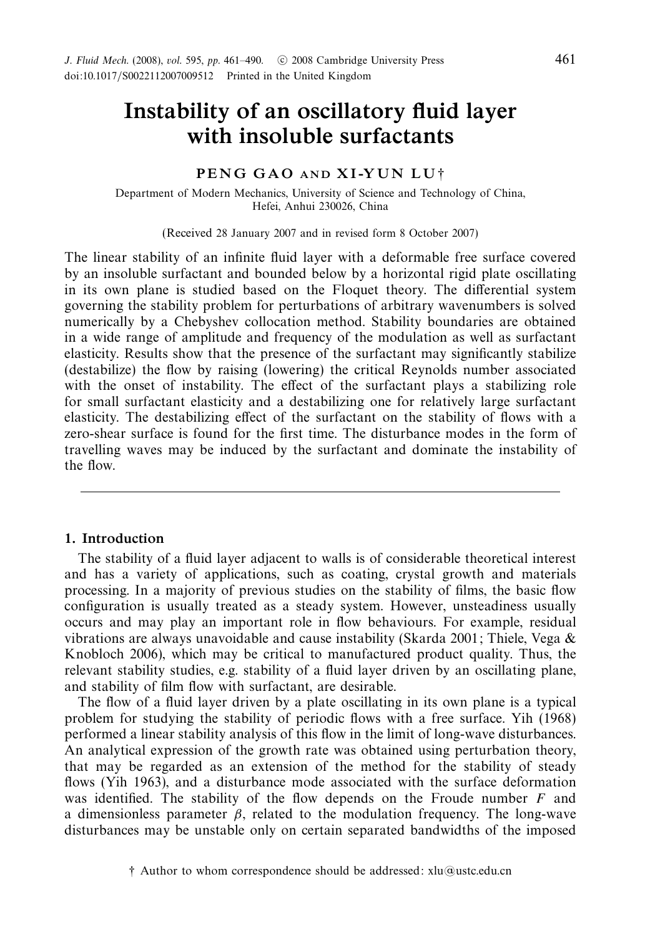# *Instability of an oscillatory fluid layer with insoluble surfactants*

# *PENG GAO AND X I -Y U N L U* †

Department of Modern Mechanics, University of Science and Technology of China, Hefei, Anhui 230026, China

(Received 28 January 2007 and in revised form 8 October 2007)

The linear stability of an infinite fluid layer with a deformable free surface covered by an insoluble surfactant and bounded below by a horizontal rigid plate oscillating in its own plane is studied based on the Floquet theory. The differential system governing the stability problem for perturbations of arbitrary wavenumbers is solved numerically by a Chebyshev collocation method. Stability boundaries are obtained in a wide range of amplitude and frequency of the modulation as well as surfactant elasticity. Results show that the presence of the surfactant may significantly stabilize (destabilize) the flow by raising (lowering) the critical Reynolds number associated with the onset of instability. The effect of the surfactant plays a stabilizing role for small surfactant elasticity and a destabilizing one for relatively large surfactant elasticity. The destabilizing effect of the surfactant on the stability of flows with a zero-shear surface is found for the first time. The disturbance modes in the form of travelling waves may be induced by the surfactant and dominate the instability of the flow.

# *1. Introduction*

The stability of a fluid layer adjacent to walls is of considerable theoretical interest and has a variety of applications, such as coating, crystal growth and materials processing. In a majority of previous studies on the stability of films, the basic flow configuration is usually treated as a steady system. However, unsteadiness usually occurs and may play an important role in flow behaviours. For example, residual vibrations are always unavoidable and cause instability (Skarda 2001; Thiele, Vega  $\&$ Knobloch 2006), which may be critical to manufactured product quality. Thus, the relevant stability studies, e.g. stability of a fluid layer driven by an oscillating plane, and stability of film flow with surfactant, are desirable.

The flow of a fluid layer driven by a plate oscillating in its own plane is a typical problem for studying the stability of periodic flows with a free surface. Yih (1968) performed a linear stability analysis of this flow in the limit of long-wave disturbances. An analytical expression of the growth rate was obtained using perturbation theory, that may be regarded as an extension of the method for the stability of steady flows (Yih 1963), and a disturbance mode associated with the surface deformation was identified. The stability of the flow depends on the Froude number *F* and a dimensionless parameter *β*, related to the modulation frequency. The long-wave disturbances may be unstable only on certain separated bandwidths of the imposed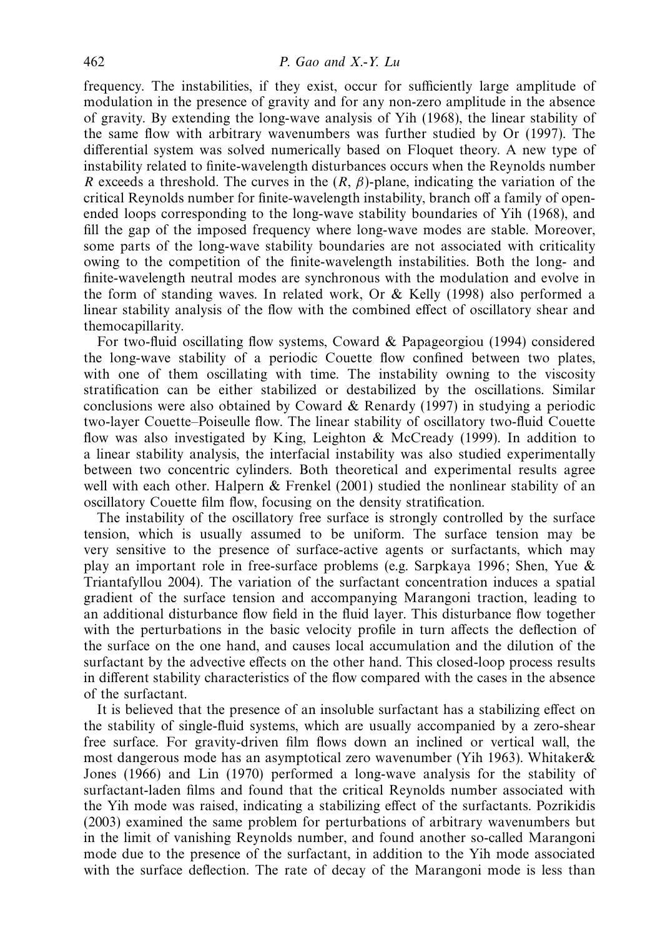frequency. The instabilities, if they exist, occur for sufficiently large amplitude of modulation in the presence of gravity and for any non-zero amplitude in the absence of gravity. By extending the long-wave analysis of Yih (1968), the linear stability of the same flow with arbitrary wavenumbers was further studied by Or (1997). The differential system was solved numerically based on Floquet theory. A new type of instability related to finite-wavelength disturbances occurs when the Reynolds number *R* exceeds a threshold. The curves in the (*R*, *β*)-plane, indicating the variation of the critical Reynolds number for finite-wavelength instability, branch off a family of openended loops corresponding to the long-wave stability boundaries of Yih (1968), and fill the gap of the imposed frequency where long-wave modes are stable. Moreover, some parts of the long-wave stability boundaries are not associated with criticality owing to the competition of the finite-wavelength instabilities. Both the long- and finite-wavelength neutral modes are synchronous with the modulation and evolve in the form of standing waves. In related work, Or & Kelly (1998) also performed a linear stability analysis of the flow with the combined effect of oscillatory shear and themocapillarity.

For two-fluid oscillating flow systems, Coward & Papageorgiou (1994) considered the long-wave stability of a periodic Couette flow confined between two plates, with one of them oscillating with time. The instability owning to the viscosity stratification can be either stabilized or destabilized by the oscillations. Similar conclusions were also obtained by Coward  $\&$  Renardy (1997) in studying a periodic two-layer Couette–Poiseulle flow. The linear stability of oscillatory two-fluid Couette flow was also investigated by King, Leighton & McCready (1999). In addition to a linear stability analysis, the interfacial instability was also studied experimentally between two concentric cylinders. Both theoretical and experimental results agree well with each other. Halpern & Frenkel (2001) studied the nonlinear stability of an oscillatory Couette film flow, focusing on the density stratification.

The instability of the oscillatory free surface is strongly controlled by the surface tension, which is usually assumed to be uniform. The surface tension may be very sensitive to the presence of surface-active agents or surfactants, which may play an important role in free-surface problems (e.g. Sarpkaya 1996; Shen, Yue & Triantafyllou 2004). The variation of the surfactant concentration induces a spatial gradient of the surface tension and accompanying Marangoni traction, leading to an additional disturbance flow field in the fluid layer. This disturbance flow together with the perturbations in the basic velocity profile in turn affects the deflection of the surface on the one hand, and causes local accumulation and the dilution of the surfactant by the advective effects on the other hand. This closed-loop process results in different stability characteristics of the flow compared with the cases in the absence of the surfactant.

It is believed that the presence of an insoluble surfactant has a stabilizing effect on the stability of single-fluid systems, which are usually accompanied by a zero-shear free surface. For gravity-driven film flows down an inclined or vertical wall, the most dangerous mode has an asymptotical zero wavenumber (Yih 1963). Whitaker& Jones (1966) and Lin (1970) performed a long-wave analysis for the stability of surfactant-laden films and found that the critical Reynolds number associated with the Yih mode was raised, indicating a stabilizing effect of the surfactants. Pozrikidis (2003) examined the same problem for perturbations of arbitrary wavenumbers but in the limit of vanishing Reynolds number, and found another so-called Marangoni mode due to the presence of the surfactant, in addition to the Yih mode associated with the surface deflection. The rate of decay of the Marangoni mode is less than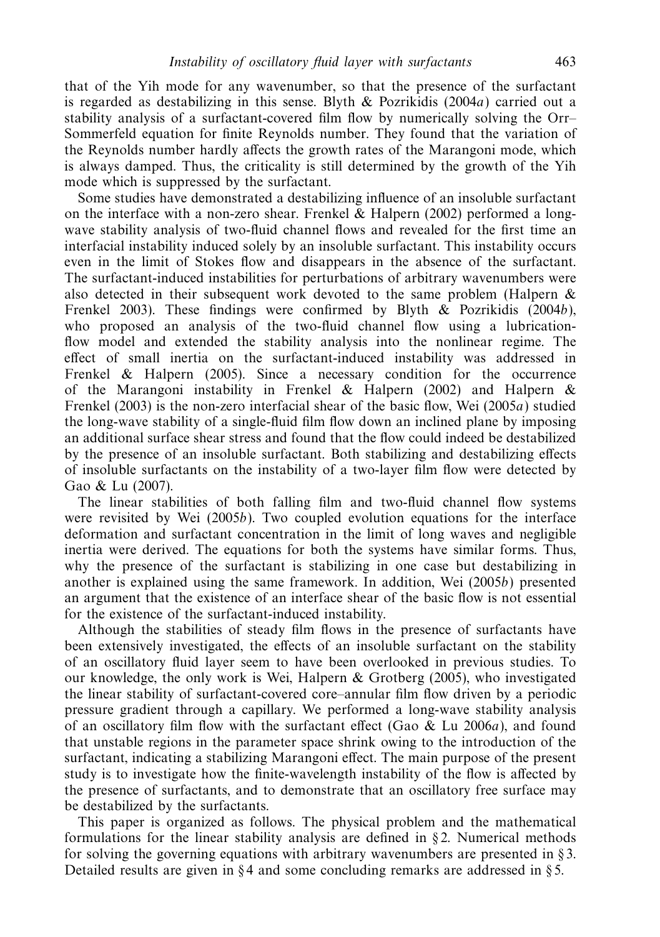that of the Yih mode for any wavenumber, so that the presence of the surfactant is regarded as destabilizing in this sense. Blyth & Pozrikidis (2004a) carried out a stability analysis of a surfactant-covered film flow by numerically solving the Orr– Sommerfeld equation for finite Reynolds number. They found that the variation of the Reynolds number hardly affects the growth rates of the Marangoni mode, which is always damped. Thus, the criticality is still determined by the growth of the Yih mode which is suppressed by the surfactant.

Some studies have demonstrated a destabilizing influence of an insoluble surfactant on the interface with a non-zero shear. Frenkel & Halpern (2002) performed a longwave stability analysis of two-fluid channel flows and revealed for the first time an interfacial instability induced solely by an insoluble surfactant. This instability occurs even in the limit of Stokes flow and disappears in the absence of the surfactant. The surfactant-induced instabilities for perturbations of arbitrary wavenumbers were also detected in their subsequent work devoted to the same problem (Halpern & Frenkel 2003). These findings were confirmed by Blyth & Pozrikidis (2004b), who proposed an analysis of the two-fluid channel flow using a lubricationflow model and extended the stability analysis into the nonlinear regime. The effect of small inertia on the surfactant-induced instability was addressed in Frenkel & Halpern (2005). Since a necessary condition for the occurrence of the Marangoni instability in Frenkel & Halpern  $(2002)$  and Halpern & Frenkel (2003) is the non-zero interfacial shear of the basic flow, Wei (2005a) studied the long-wave stability of a single-fluid film flow down an inclined plane by imposing an additional surface shear stress and found that the flow could indeed be destabilized by the presence of an insoluble surfactant. Both stabilizing and destabilizing effects of insoluble surfactants on the instability of a two-layer film flow were detected by Gao & Lu (2007).

The linear stabilities of both falling film and two-fluid channel flow systems were revisited by Wei (2005b). Two coupled evolution equations for the interface deformation and surfactant concentration in the limit of long waves and negligible inertia were derived. The equations for both the systems have similar forms. Thus, why the presence of the surfactant is stabilizing in one case but destabilizing in another is explained using the same framework. In addition, Wei (2005b) presented an argument that the existence of an interface shear of the basic flow is not essential for the existence of the surfactant-induced instability.

Although the stabilities of steady film flows in the presence of surfactants have been extensively investigated, the effects of an insoluble surfactant on the stability of an oscillatory fluid layer seem to have been overlooked in previous studies. To our knowledge, the only work is Wei, Halpern  $\&$  Grotberg (2005), who investigated the linear stability of surfactant-covered core–annular film flow driven by a periodic pressure gradient through a capillary. We performed a long-wave stability analysis of an oscillatory film flow with the surfactant effect (Gao  $\&$  Lu 2006a), and found that unstable regions in the parameter space shrink owing to the introduction of the surfactant, indicating a stabilizing Marangoni effect. The main purpose of the present study is to investigate how the finite-wavelength instability of the flow is affected by the presence of surfactants, and to demonstrate that an oscillatory free surface may be destabilized by the surfactants.

This paper is organized as follows. The physical problem and the mathematical formulations for the linear stability analysis are defined in  $\S$ 2. Numerical methods for solving the governing equations with arbitrary wavenumbers are presented in  $\S$ 3. Detailed results are given in §4 and some concluding remarks are addressed in §5.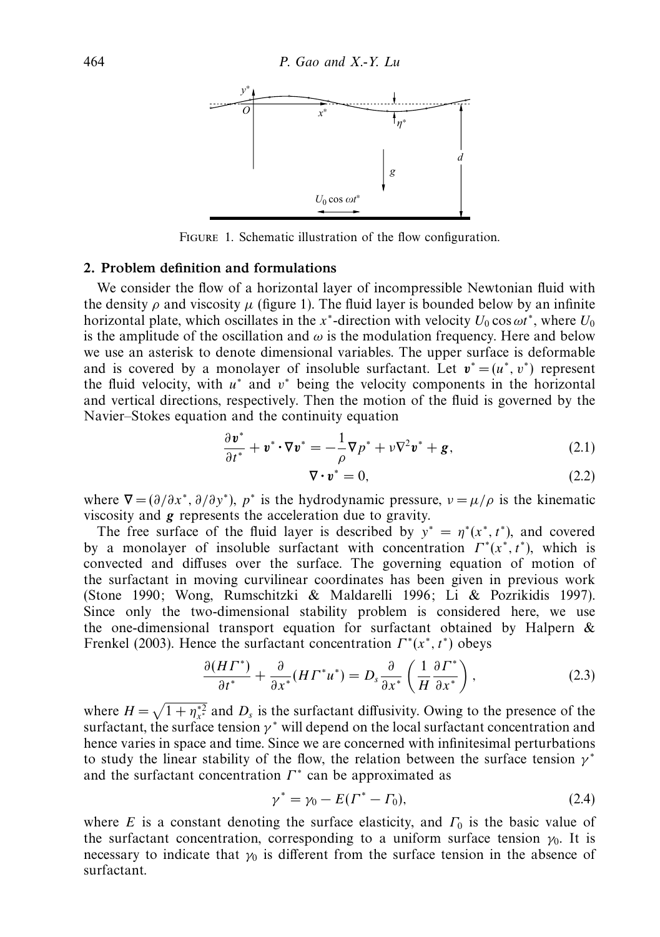

Figure 1. Schematic illustration of the flow configuration.

#### *2. Problem definition and formulations*

We consider the flow of a horizontal layer of incompressible Newtonian fluid with the density  $\rho$  and viscosity  $\mu$  (figure 1). The fluid layer is bounded below by an infinite horizontal plate, which oscillates in the *x*<sup>∗</sup>-direction with velocity  $U_0 \cos \omega t^*$ , where  $U_0$ is the amplitude of the oscillation and  $\omega$  is the modulation frequency. Here and below we use an asterisk to denote dimensional variables. The upper surface is deformable and is covered by a monolayer of insoluble surfactant. Let  $v^* = (u^*, v^*)$  represent the fluid velocity, with *u*<sup>∗</sup> and *v*<sup>∗</sup> being the velocity components in the horizontal and vertical directions, respectively. Then the motion of the fluid is governed by the Navier–Stokes equation and the continuity equation

$$
\frac{\partial \mathbf{v}^*}{\partial t^*} + \mathbf{v}^* \cdot \nabla \mathbf{v}^* = -\frac{1}{\rho} \nabla p^* + \nu \nabla^2 \mathbf{v}^* + \mathbf{g},\tag{2.1}
$$

$$
\nabla \cdot \mathbf{v}^* = 0,\tag{2.2}
$$

where  $\nabla = (\partial/\partial x^*, \partial/\partial y^*)$ ,  $p^*$  is the hydrodynamic pressure,  $v = \mu/\rho$  is the kinematic viscosity and *g* represents the acceleration due to gravity.

The free surface of the fluid layer is described by  $y^* = \eta^*(x^*, t^*)$ , and covered by a monolayer of insoluble surfactant with concentration  $\Gamma^*(x^*, t^*)$ , which is convected and diffuses over the surface. The governing equation of motion of the surfactant in moving curvilinear coordinates has been given in previous work (Stone 1990; Wong, Rumschitzki & Maldarelli 1996; Li & Pozrikidis 1997). Since only the two-dimensional stability problem is considered here, we use the one-dimensional transport equation for surfactant obtained by Halpern  $\&$ Frenkel (2003). Hence the surfactant concentration *Γ* <sup>∗</sup>(*x*∗*, t* <sup>∗</sup>) obeys

$$
\frac{\partial (H\Gamma^*)}{\partial t^*} + \frac{\partial}{\partial x^*} (H\Gamma^* u^*) = D_s \frac{\partial}{\partial x^*} \left( \frac{1}{H} \frac{\partial \Gamma^*}{\partial x^*} \right),\tag{2.3}
$$

where  $H = \sqrt{1 + \eta_{x}^{*2}}$  and  $D_s$  is the surfactant diffusivity. Owing to the presence of the surfactant, the surface tension *γ* <sup>∗</sup> will depend on the local surfactant concentration and hence varies in space and time. Since we are concerned with infinitesimal perturbations to study the linear stability of the flow, the relation between the surface tension *γ* <sup>∗</sup> and the surfactant concentration  $\Gamma^*$  can be approximated as

$$
\gamma^* = \gamma_0 - E(\Gamma^* - \Gamma_0), \tag{2.4}
$$

where *E* is a constant denoting the surface elasticity, and  $\Gamma_0$  is the basic value of the surfactant concentration, corresponding to a uniform surface tension  $\gamma_0$ . It is necessary to indicate that  $\gamma_0$  is different from the surface tension in the absence of surfactant.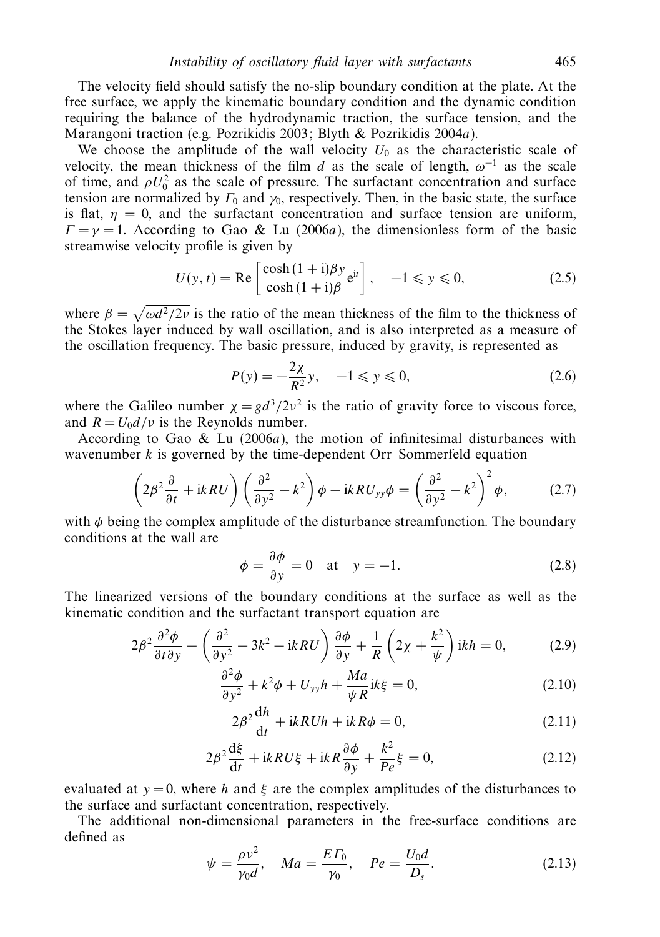The velocity field should satisfy the no-slip boundary condition at the plate. At the free surface, we apply the kinematic boundary condition and the dynamic condition requiring the balance of the hydrodynamic traction, the surface tension, and the Marangoni traction (e.g. Pozrikidis 2003; Blyth & Pozrikidis 2004a).

We choose the amplitude of the wall velocity  $U_0$  as the characteristic scale of velocity, the mean thickness of the film *d* as the scale of length,  $\omega^{-1}$  as the scale of time, and  $\rho U_0^2$  as the scale of pressure. The surfactant concentration and surface tension are normalized by  $\Gamma_0$  and  $\gamma_0$ , respectively. Then, in the basic state, the surface is flat,  $\eta = 0$ , and the surfactant concentration and surface tension are uniform,  $\Gamma = \gamma = 1$ . According to Gao & Lu (2006*a*), the dimensionless form of the basic streamwise velocity profile is given by

$$
U(y, t) = \text{Re}\left[\frac{\cosh(1+i)\beta y}{\cosh(1+i)\beta} e^{it}\right], \quad -1 \le y \le 0,
$$
 (2.5)

where  $\beta = \sqrt{\omega d^2/2\nu}$  is the ratio of the mean thickness of the film to the thickness of the Stokes layer induced by wall oscillation, and is also interpreted as a measure of the oscillation frequency. The basic pressure, induced by gravity, is represented as

$$
P(y) = -\frac{2\chi}{R^2}y, \quad -1 \le y \le 0,
$$
\n(2.6)

where the Galileo number  $\chi = g d^3/2v^2$  is the ratio of gravity force to viscous force, and  $R = U_0 d/v$  is the Reynolds number.

According to Gao & Lu  $(2006a)$ , the motion of infinitesimal disturbances with wavenumber *k* is governed by the time-dependent Orr–Sommerfeld equation

$$
\left(2\beta^2\frac{\partial}{\partial t} + ikRU\right) \left(\frac{\partial^2}{\partial y^2} - k^2\right) \phi - ikRU_{yy}\phi = \left(\frac{\partial^2}{\partial y^2} - k^2\right)^2 \phi, \tag{2.7}
$$

with  $\phi$  being the complex amplitude of the disturbance streamfunction. The boundary conditions at the wall are

$$
\phi = \frac{\partial \phi}{\partial y} = 0 \quad \text{at} \quad y = -1. \tag{2.8}
$$

The linearized versions of the boundary conditions at the surface as well as the kinematic condition and the surfactant transport equation are

$$
2\beta^2 \frac{\partial^2 \phi}{\partial t \partial y} - \left(\frac{\partial^2}{\partial y^2} - 3k^2 - ikRU\right) \frac{\partial \phi}{\partial y} + \frac{1}{R} \left(2\chi + \frac{k^2}{\psi}\right) ikh = 0, \tag{2.9}
$$

$$
\frac{\partial^2 \phi}{\partial y^2} + k^2 \phi + U_{yy} h + \frac{Ma}{\psi R} i k \xi = 0, \qquad (2.10)
$$

$$
2\beta^2 \frac{dh}{dt} + ikRUh + ikR\phi = 0,
$$
\n(2.11)

$$
2\beta^2 \frac{d\xi}{dt} + ikRU\xi + ikR\frac{\partial\phi}{\partial y} + \frac{k^2}{Pe}\xi = 0,
$$
\n(2.12)

evaluated at  $y = 0$ , where *h* and  $\xi$  are the complex amplitudes of the disturbances to the surface and surfactant concentration, respectively.

The additional non-dimensional parameters in the free-surface conditions are defined as

$$
\psi = \frac{\rho v^2}{\gamma_0 d}, \quad Ma = \frac{E\Gamma_0}{\gamma_0}, \quad Pe = \frac{U_0 d}{D_s}.
$$
\n(2.13)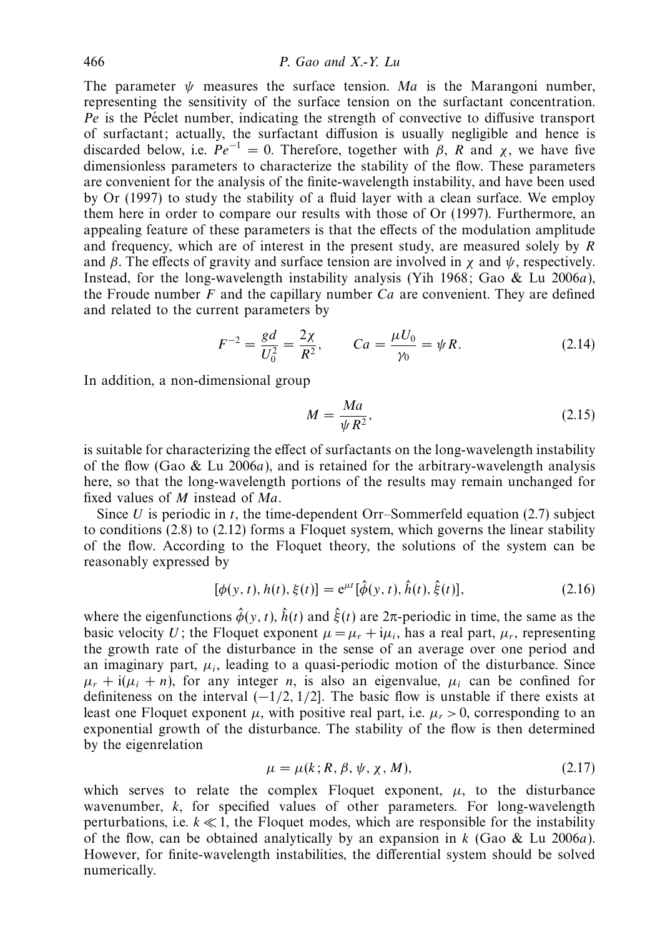The parameter  $\psi$  measures the surface tension. Ma is the Marangoni number, representing the sensitivity of the surface tension on the surfactant concentration.  $Pe$  is the Péclet number, indicating the strength of convective to diffusive transport of surfactant; actually, the surfactant diffusion is usually negligible and hence is discarded below, i.e.  $Pe^{-1} = 0$ . Therefore, together with  $\beta$ ,  $R$  and  $\gamma$ , we have five dimensionless parameters to characterize the stability of the flow. These parameters are convenient for the analysis of the finite-wavelength instability, and have been used by Or (1997) to study the stability of a fluid layer with a clean surface. We employ them here in order to compare our results with those of Or (1997). Furthermore, an appealing feature of these parameters is that the effects of the modulation amplitude and frequency, which are of interest in the present study, are measured solely by *R* and  $\beta$ . The effects of gravity and surface tension are involved in *χ* and  $\psi$ , respectively. Instead, for the long-wavelength instability analysis (Yih 1968; Gao & Lu 2006a), the Froude number *F* and the capillary number Ca are convenient. They are defined and related to the current parameters by

$$
F^{-2} = \frac{gd}{U_0^2} = \frac{2\chi}{R^2}, \qquad Ca = \frac{\mu U_0}{\gamma_0} = \psi R. \tag{2.14}
$$

In addition, a non-dimensional group

$$
M = \frac{Ma}{\psi R^2},\tag{2.15}
$$

is suitable for characterizing the effect of surfactants on the long-wavelength instability of the flow (Gao & Lu 2006a), and is retained for the arbitrary-wavelength analysis here, so that the long-wavelength portions of the results may remain unchanged for fixed values of *M* instead of Ma.

Since *U* is periodic in *t*, the time-dependent Orr–Sommerfeld equation (2.7) subject to conditions  $(2.8)$  to  $(2.12)$  forms a Floquet system, which governs the linear stability of the flow. According to the Floquet theory, the solutions of the system can be reasonably expressed by

$$
[\phi(y, t), h(t), \xi(t)] = e^{\mu t} [\hat{\phi}(y, t), \hat{h}(t), \hat{\xi}(t)],
$$
\n(2.16)

where the eigenfunctions  $\hat{\phi}(y, t)$ ,  $\hat{h}(t)$  and  $\hat{\xi}(t)$  are  $2\pi$ -periodic in time, the same as the basic velocity *U*; the Floquet exponent  $\mu = \mu_r + i\mu_i$ , has a real part,  $\mu_r$ , representing the growth rate of the disturbance in the sense of an average over one period and an imaginary part,  $\mu_i$ , leading to a quasi-periodic motion of the disturbance. Since  $\mu_r + i(\mu_i + n)$ , for any integer *n*, is also an eigenvalue,  $\mu_i$  can be confined for definiteness on the interval (−1*/*2*,* 1*/*2]. The basic flow is unstable if there exists at least one Floquet exponent  $\mu$ , with positive real part, i.e.  $\mu_r > 0$ , corresponding to an exponential growth of the disturbance. The stability of the flow is then determined by the eigenrelation

$$
\mu = \mu(k; R, \beta, \psi, \chi, M), \tag{2.17}
$$

which serves to relate the complex Floquet exponent,  $\mu$ , to the disturbance wavenumber, *k*, for specified values of other parameters. For long-wavelength perturbations, i.e.  $k \ll 1$ , the Floquet modes, which are responsible for the instability of the flow, can be obtained analytically by an expansion in  $k$  (Gao  $\&$  Lu 2006a). However, for finite-wavelength instabilities, the differential system should be solved numerically.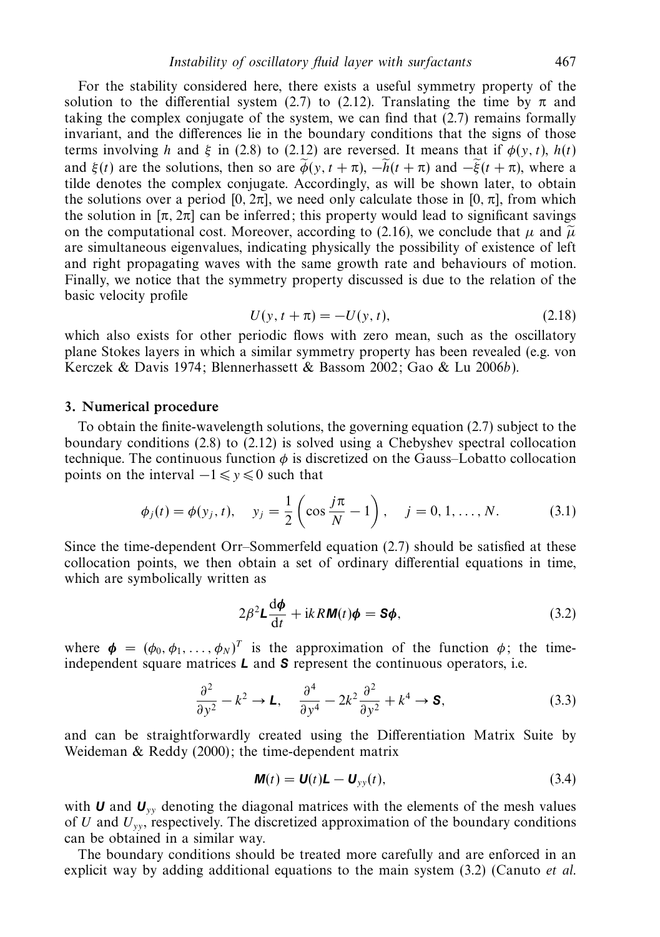For the stability considered here, there exists a useful symmetry property of the solution to the differential system (2.7) to (2.12). Translating the time by  $\pi$  and taking the complex conjugate of the system, we can find that  $(2.7)$  remains formally invariant, and the differences lie in the boundary conditions that the signs of those terms involving *h* and  $\xi$  in (2.8) to (2.12) are reversed. It means that if  $\phi(y, t)$ ,  $h(t)$ and  $\xi(t)$  are the solutions, then so are  $\phi(y, t + \pi)$ ,  $-h(t + \pi)$  and  $-\xi(t + \pi)$ , where a tilde denotes the complex conjugate. Accordingly, as will be shown later, to obtain the solutions over a period  $[0, 2\pi]$ , we need only calculate those in  $[0, \pi]$ , from which the solution in  $[\pi, 2\pi]$  can be inferred; this property would lead to significant savings on the computational cost. Moreover, according to (2.16), we conclude that  $\mu$  and  $\tilde{\mu}$ are simultaneous eigenvalues, indicating physically the possibility of existence of left and right propagating waves with the same growth rate and behaviours of motion. Finally, we notice that the symmetry property discussed is due to the relation of the

$$
U(y, t + \pi) = -U(y, t),
$$
\n(2.18)

which also exists for other periodic flows with zero mean, such as the oscillatory plane Stokes layers in which a similar symmetry property has been revealed (e.g. von Kerczek & Davis 1974; Blennerhassett & Bassom 2002; Gao & Lu 2006b).

#### *3. Numerical procedure*

basic velocity profile

To obtain the finite-wavelength solutions, the governing equation (2.7) subject to the boundary conditions (2.8) to (2.12) is solved using a Chebyshev spectral collocation technique. The continuous function  $\phi$  is discretized on the Gauss–Lobatto collocation points on the interval  $-1 \leq v \leq 0$  such that

$$
\phi_j(t) = \phi(y_j, t), \quad y_j = \frac{1}{2} \left( \cos \frac{j\pi}{N} - 1 \right), \quad j = 0, 1, ..., N.
$$
\n(3.1)

Since the time-dependent Orr–Sommerfeld equation (2.7) should be satisfied at these collocation points, we then obtain a set of ordinary differential equations in time, which are symbolically written as

$$
2\beta^2 \mathbf{L} \frac{\mathrm{d}\boldsymbol{\phi}}{\mathrm{d}t} + \mathrm{i}k R \mathbf{M}(t) \boldsymbol{\phi} = \mathbf{S} \boldsymbol{\phi},\tag{3.2}
$$

where  $\phi = (\phi_0, \phi_1, \dots, \phi_N)^T$  is the approximation of the function  $\phi$ ; the timeindependent square matrices *L* and *S* represent the continuous operators, i.e.

$$
\frac{\partial^2}{\partial y^2} - k^2 \to \mathbf{L}, \quad \frac{\partial^4}{\partial y^4} - 2k^2 \frac{\partial^2}{\partial y^2} + k^4 \to \mathbf{S}, \tag{3.3}
$$

and can be straightforwardly created using the Differentiation Matrix Suite by Weideman & Reddy (2000); the time-dependent matrix

$$
\mathbf{M}(t) = \mathbf{U}(t)\mathbf{L} - \mathbf{U}_{yy}(t), \tag{3.4}
$$

with *U* and  $U_{yy}$  denoting the diagonal matrices with the elements of the mesh values of  $U$  and  $U_{yy}$ , respectively. The discretized approximation of the boundary conditions can be obtained in a similar way.

The boundary conditions should be treated more carefully and are enforced in an explicit way by adding additional equations to the main system  $(3.2)$  (Canuto *et al.*)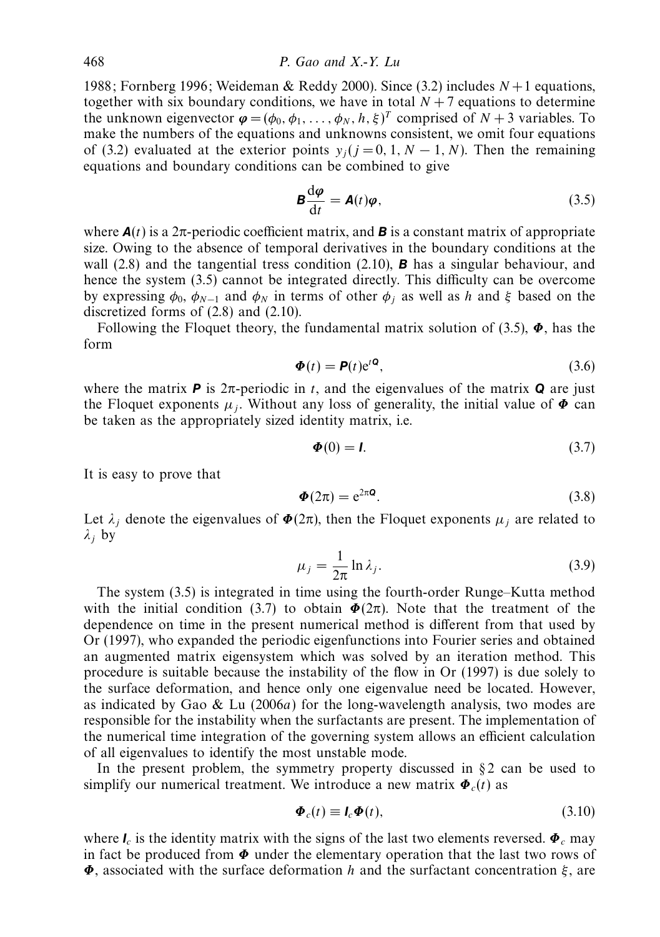#### 468 P. Gao and X.-Y. Lu

1988; Fornberg 1996; Weideman & Reddy 2000). Since (3.2) includes *N* +1 equations, together with six boundary conditions, we have in total  $N + 7$  equations to determine the unknown eigenvector  $\boldsymbol{\varphi} = (\phi_0, \phi_1, \dots, \phi_N, h, \xi)^T$  comprised of  $N + 3$  variables. To make the numbers of the equations and unknowns consistent, we omit four equations of (3.2) evaluated at the exterior points  $y_i$  ( $j = 0, 1, N - 1, N$ ). Then the remaining equations and boundary conditions can be combined to give

$$
\mathbf{B} \frac{\mathrm{d}\boldsymbol{\varphi}}{\mathrm{d}t} = \mathbf{A}(t)\boldsymbol{\varphi},\tag{3.5}
$$

where  $A(t)$  is a  $2\pi$ -periodic coefficient matrix, and **B** is a constant matrix of appropriate size. Owing to the absence of temporal derivatives in the boundary conditions at the wall (2.8) and the tangential tress condition (2.10), **B** has a singular behaviour, and hence the system (3.5) cannot be integrated directly. This difficulty can be overcome by expressing  $\phi_0$ ,  $\phi_{N-1}$  and  $\phi_N$  in terms of other  $\phi_i$  as well as *h* and  $\xi$  based on the discretized forms of (2.8) and (2.10).

Following the Floquet theory, the fundamental matrix solution of (3.5), *Φ*, has the form

$$
\boldsymbol{\Phi}(t) = \boldsymbol{P}(t) e^{t \mathbf{Q}}, \tag{3.6}
$$

where the matrix *P* is 2π-periodic in *t*, and the eigenvalues of the matrix *Q* are just the Floquet exponents  $\mu_i$ . Without any loss of generality, the initial value of  $\Phi$  can be taken as the appropriately sized identity matrix, i.e.

$$
\Phi(0) = I. \tag{3.7}
$$

It is easy to prove that

$$
\Phi(2\pi) = e^{2\pi \mathbf{Q}}.\tag{3.8}
$$

Let  $\lambda_j$  denote the eigenvalues of  $\Phi(2\pi)$ , then the Floquet exponents  $\mu_j$  are related to *λ<sup>j</sup>* by

$$
\mu_j = \frac{1}{2\pi} \ln \lambda_j. \tag{3.9}
$$

The system (3.5) is integrated in time using the fourth-order Runge–Kutta method with the initial condition (3.7) to obtain  $\Phi(2\pi)$ . Note that the treatment of the dependence on time in the present numerical method is different from that used by Or (1997), who expanded the periodic eigenfunctions into Fourier series and obtained an augmented matrix eigensystem which was solved by an iteration method. This procedure is suitable because the instability of the flow in Or (1997) is due solely to the surface deformation, and hence only one eigenvalue need be located. However, as indicated by Gao & Lu (2006a) for the long-wavelength analysis, two modes are responsible for the instability when the surfactants are present. The implementation of the numerical time integration of the governing system allows an efficient calculation of all eigenvalues to identify the most unstable mode.

In the present problem, the symmetry property discussed in  $\S$ 2 can be used to simplify our numerical treatment. We introduce a new matrix  $\Phi_c(t)$  as

$$
\boldsymbol{\Phi}_c(t) \equiv \boldsymbol{I}_c \boldsymbol{\Phi}(t),\tag{3.10}
$$

where *I<sub>c</sub>* is the identity matrix with the signs of the last two elements reversed.  $\Phi_c$  may in fact be produced from *Φ* under the elementary operation that the last two rows of *Φ*, associated with the surface deformation *h* and the surfactant concentration *ξ* , are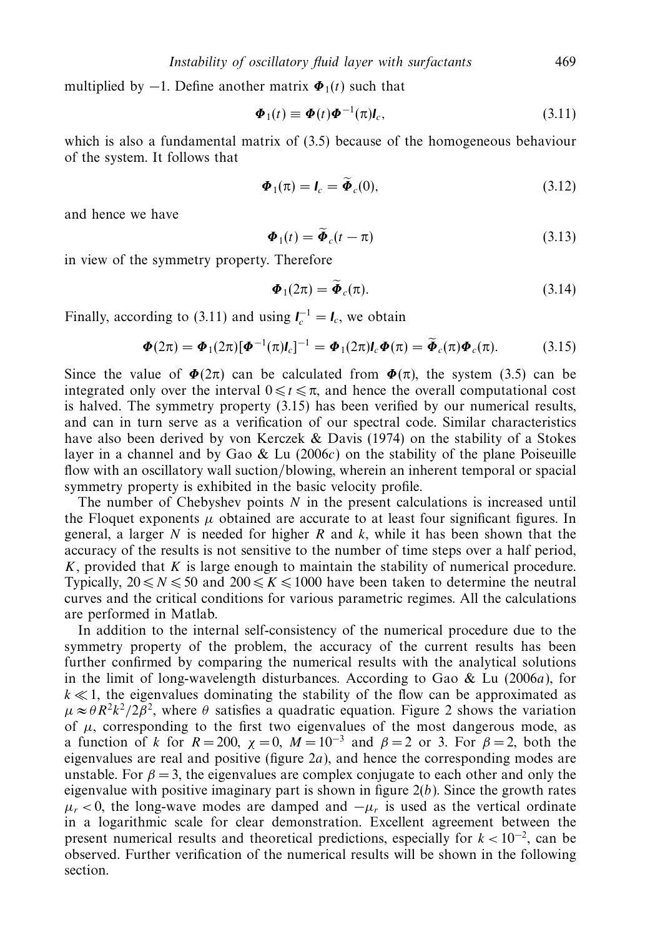multiplied by  $-1$ . Define another matrix  $\Phi_1(t)$  such that

$$
\boldsymbol{\Phi}_1(t) \equiv \boldsymbol{\Phi}(t)\boldsymbol{\Phi}^{-1}(\pi)\boldsymbol{I}_c,\tag{3.11}
$$

which is also a fundamental matrix of  $(3.5)$  because of the homogeneous behaviour of the system. It follows that

$$
\boldsymbol{\Phi}_1(\boldsymbol{\pi}) = \boldsymbol{I}_c = \boldsymbol{\tilde{\Phi}}_c(0), \tag{3.12}
$$

and hence we have

$$
\boldsymbol{\Phi}_1(t) = \boldsymbol{\Phi}_c(t - \pi) \tag{3.13}
$$

in view of the symmetry property. Therefore

$$
\Phi_1(2\pi) = \widetilde{\Phi}_c(\pi). \tag{3.14}
$$

Finally, according to (3.11) and using  $I_c^{-1} = I_c$ , we obtain

$$
\boldsymbol{\Phi}(2\pi) = \boldsymbol{\Phi}_1(2\pi) [\boldsymbol{\Phi}^{-1}(\pi) \boldsymbol{I}_c]^{-1} = \boldsymbol{\Phi}_1(2\pi) \boldsymbol{I}_c \boldsymbol{\Phi}(\pi) = \widetilde{\boldsymbol{\Phi}}_c(\pi) \boldsymbol{\Phi}_c(\pi). \tag{3.15}
$$

Since the value of  $\Phi(2\pi)$  can be calculated from  $\Phi(\pi)$ , the system (3.5) can be integrated only over the interval  $0 \le t \le \pi$ , and hence the overall computational cost is halved. The symmetry property (3.15) has been verified by our numerical results, and can in turn serve as a verification of our spectral code. Similar characteristics have also been derived by von Kerczek & Davis (1974) on the stability of a Stokes layer in a channel and by Gao & Lu  $(2006c)$  on the stability of the plane Poiseuille flow with an oscillatory wall suction/blowing, wherein an inherent temporal or spacial symmetry property is exhibited in the basic velocity profile.

The number of Chebyshev points *N* in the present calculations is increased until the Floquet exponents  $\mu$  obtained are accurate to at least four significant figures. In general, a larger *N* is needed for higher *R* and *k*, while it has been shown that the accuracy of the results is not sensitive to the number of time steps over a half period, *K*, provided that *K* is large enough to maintain the stability of numerical procedure. Typically,  $20 \le N \le 50$  and  $200 \le K \le 1000$  have been taken to determine the neutral curves and the critical conditions for various parametric regimes. All the calculations are performed in Matlab.

In addition to the internal self-consistency of the numerical procedure due to the symmetry property of the problem, the accuracy of the current results has been further confirmed by comparing the numerical results with the analytical solutions in the limit of long-wavelength disturbances. According to Gao & Lu  $(2006a)$ , for  $k \ll 1$ , the eigenvalues dominating the stability of the flow can be approximated as  $\mu \approx \theta R^2 k^2 / 2\beta^2$ , where  $\theta$  satisfies a quadratic equation. Figure 2 shows the variation of  $\mu$ , corresponding to the first two eigenvalues of the most dangerous mode, as a function of *k* for  $R = 200$ ,  $\chi = 0$ ,  $M = 10^{-3}$  and  $\beta = 2$  or 3. For  $\beta = 2$ , both the eigenvalues are real and positive (figure  $2a$ ), and hence the corresponding modes are unstable. For  $\beta = 3$ , the eigenvalues are complex conjugate to each other and only the eigenvalue with positive imaginary part is shown in figure  $2(b)$ . Since the growth rates  $\mu_r$  < 0, the long-wave modes are damped and  $-\mu_r$  is used as the vertical ordinate in a logarithmic scale for clear demonstration. Excellent agreement between the present numerical results and theoretical predictions, especially for  $k < 10^{-2}$ , can be observed. Further verification of the numerical results will be shown in the following section.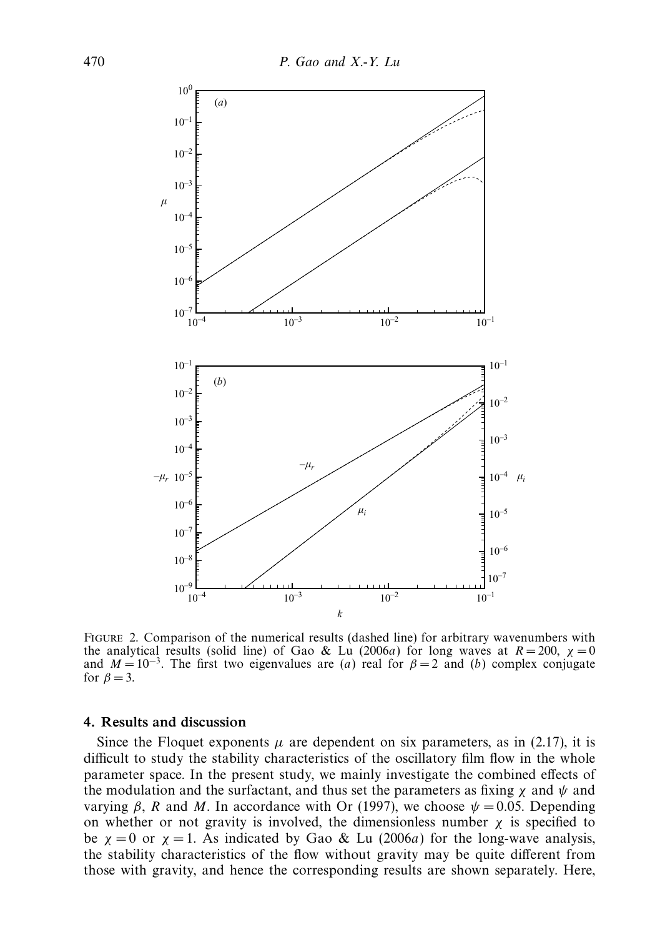

Figure 2. Comparison of the numerical results (dashed line) for arbitrary wavenumbers with the analytical results (solid line) of Gao & Lu (2006a) for long waves at  $R = 200$ ,  $\chi = 0$ and  $M = 10^{-3}$ . The first two eigenvalues are (a) real for  $\beta = 2$  and (b) complex conjugate for  $\beta = 3$ .

## *4. Results and discussion*

Since the Floquet exponents  $\mu$  are dependent on six parameters, as in (2.17), it is difficult to study the stability characteristics of the oscillatory film flow in the whole parameter space. In the present study, we mainly investigate the combined effects of the modulation and the surfactant, and thus set the parameters as fixing  $\chi$  and  $\psi$  and varying *β*, *R* and *M*. In accordance with Or (1997), we choose  $ψ = 0.05$ . Depending on whether or not gravity is involved, the dimensionless number  $\chi$  is specified to be  $\chi = 0$  or  $\chi = 1$ . As indicated by Gao & Lu (2006*a*) for the long-wave analysis, the stability characteristics of the flow without gravity may be quite different from those with gravity, and hence the corresponding results are shown separately. Here,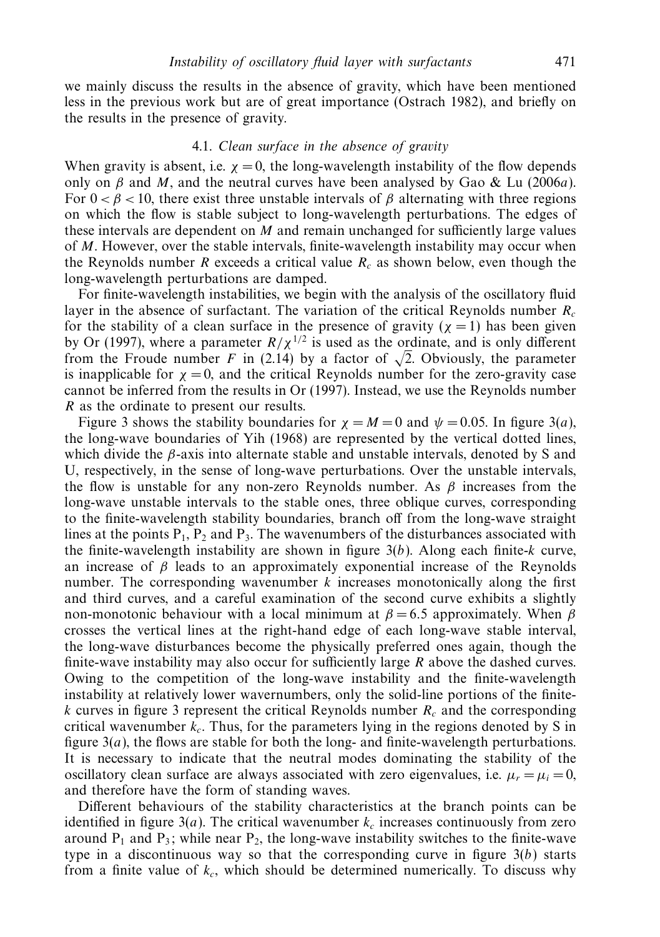we mainly discuss the results in the absence of gravity, which have been mentioned less in the previous work but are of great importance (Ostrach 1982), and briefly on the results in the presence of gravity.

#### 4.1. Clean surface in the absence of gravity

When gravity is absent, i.e.  $\chi = 0$ , the long-wavelength instability of the flow depends only on  $\beta$  and  $M$ , and the neutral curves have been analysed by Gao & Lu (2006a). For  $0 < \beta < 10$ , there exist three unstable intervals of  $\beta$  alternating with three regions on which the flow is stable subject to long-wavelength perturbations. The edges of these intervals are dependent on *M* and remain unchanged for sufficiently large values of *M*. However, over the stable intervals, finite-wavelength instability may occur when the Reynolds number *R* exceeds a critical value  $R_c$  as shown below, even though the long-wavelength perturbations are damped.

For finite-wavelength instabilities, we begin with the analysis of the oscillatory fluid layer in the absence of surfactant. The variation of the critical Reynolds number *Rc* for the stability of a clean surface in the presence of gravity ( $\chi = 1$ ) has been given by Or (1997), where a parameter  $R/\chi^{1/2}$  is used as the ordinate, and is only different from the Froude number *F* in (2.14) by a factor of  $\sqrt{2}$ . Obviously, the parameter is inapplicable for  $\chi = 0$ , and the critical Reynolds number for the zero-gravity case cannot be inferred from the results in Or (1997). Instead, we use the Reynolds number *R* as the ordinate to present our results.

Figure 3 shows the stability boundaries for  $\chi = M = 0$  and  $\psi = 0.05$ . In figure 3(*a*), the long-wave boundaries of Yih (1968) are represented by the vertical dotted lines, which divide the *β*-axis into alternate stable and unstable intervals, denoted by S and U, respectively, in the sense of long-wave perturbations. Over the unstable intervals, the flow is unstable for any non-zero Reynolds number. As *β* increases from the long-wave unstable intervals to the stable ones, three oblique curves, corresponding to the finite-wavelength stability boundaries, branch off from the long-wave straight lines at the points  $P_1$ ,  $P_2$  and  $P_3$ . The wavenumbers of the disturbances associated with the finite-wavelength instability are shown in figure 3(b). Along each finite-*k* curve, an increase of  $\beta$  leads to an approximately exponential increase of the Reynolds number. The corresponding wavenumber *k* increases monotonically along the first and third curves, and a careful examination of the second curve exhibits a slightly non-monotonic behaviour with a local minimum at  $\beta = 6.5$  approximately. When  $\beta$ crosses the vertical lines at the right-hand edge of each long-wave stable interval, the long-wave disturbances become the physically preferred ones again, though the finite-wave instability may also occur for sufficiently large *R* above the dashed curves. Owing to the competition of the long-wave instability and the finite-wavelength instability at relatively lower wavernumbers, only the solid-line portions of the finite $k$  curves in figure 3 represent the critical Reynolds number  $R_c$  and the corresponding critical wavenumber  $k_c$ . Thus, for the parameters lying in the regions denoted by S in figure  $3(a)$ , the flows are stable for both the long- and finite-wavelength perturbations. It is necessary to indicate that the neutral modes dominating the stability of the oscillatory clean surface are always associated with zero eigenvalues, i.e.  $\mu_r = \mu_i = 0$ , and therefore have the form of standing waves.

Different behaviours of the stability characteristics at the branch points can be identified in figure  $3(a)$ . The critical wavenumber  $k_c$  increases continuously from zero around  $P_1$  and  $P_3$ ; while near  $P_2$ , the long-wave instability switches to the finite-wave type in a discontinuous way so that the corresponding curve in figure  $3(b)$  starts from a finite value of  $k_c$ , which should be determined numerically. To discuss why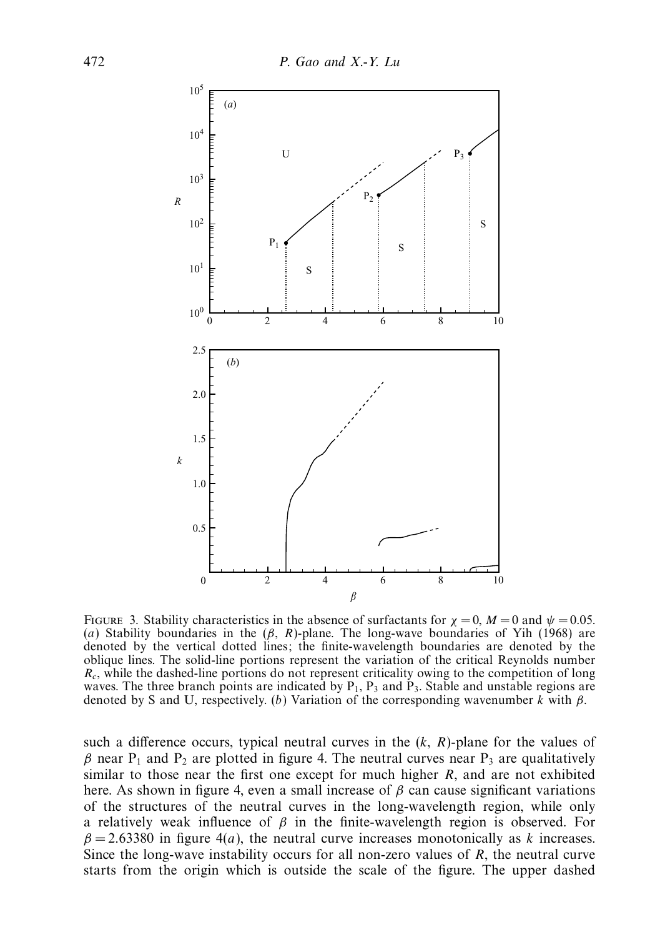

FIGURE 3. Stability characteristics in the absence of surfactants for  $\chi = 0$ ,  $M = 0$  and  $\psi = 0.05$ . (a) Stability boundaries in the (*β*, *R*)-plane. The long-wave boundaries of Yih (1968) are denoted by the vertical dotted lines; the finite-wavelength boundaries are denoted by the oblique lines. The solid-line portions represent the variation of the critical Reynolds number *Rc*, while the dashed-line portions do not represent criticality owing to the competition of long waves. The three branch points are indicated by  $P_1$ ,  $P_3$  and  $P_3$ . Stable and unstable regions are denoted by S and U, respectively. (b) Variation of the corresponding wavenumber *k* with *β*.

such a difference occurs, typical neutral curves in the (*k*, *R*)-plane for the values of  $β$  near P<sub>1</sub> and P<sub>2</sub> are plotted in figure 4. The neutral curves near P<sub>3</sub> are qualitatively similar to those near the first one except for much higher *R*, and are not exhibited here. As shown in figure 4, even a small increase of *β* can cause significant variations of the structures of the neutral curves in the long-wavelength region, while only a relatively weak influence of  $\beta$  in the finite-wavelength region is observed. For  $\beta = 2.63380$  in figure 4(*a*), the neutral curve increases monotonically as *k* increases. Since the long-wave instability occurs for all non-zero values of *R*, the neutral curve starts from the origin which is outside the scale of the figure. The upper dashed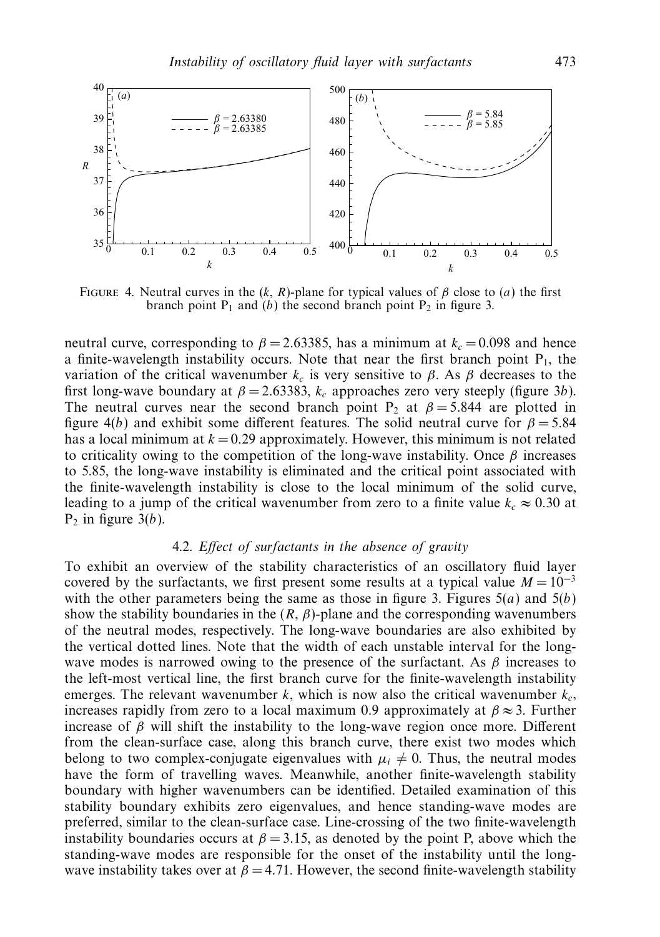

FIGURE 4. Neutral curves in the  $(k, R)$ -plane for typical values of  $\beta$  close to (a) the first branch point  $P_1$  and (b) the second branch point  $P_2$  in figure 3.

neutral curve, corresponding to  $\beta = 2.63385$ , has a minimum at  $k_c = 0.098$  and hence a finite-wavelength instability occurs. Note that near the first branch point  $P_1$ , the variation of the critical wavenumber *kc* is very sensitive to *β*. As *β* decreases to the first long-wave boundary at  $\beta = 2.63383$ ,  $k_c$  approaches zero very steeply (figure 3b). The neutral curves near the second branch point  $P_2$  at  $\beta = 5.844$  are plotted in figure  $4(b)$  and exhibit some different features. The solid neutral curve for  $\beta = 5.84$ has a local minimum at  $k = 0.29$  approximately. However, this minimum is not related to criticality owing to the competition of the long-wave instability. Once *β* increases to 5.85, the long-wave instability is eliminated and the critical point associated with the finite-wavelength instability is close to the local minimum of the solid curve, leading to a jump of the critical wavenumber from zero to a finite value  $k_c \approx 0.30$  at  $P_2$  in figure 3(*b*).

#### 4.2. Effect of surfactants in the absence of gravity

To exhibit an overview of the stability characteristics of an oscillatory fluid layer covered by the surfactants, we first present some results at a typical value  $M = 10^{-3}$ with the other parameters being the same as those in figure 3. Figures  $5(a)$  and  $5(b)$ show the stability boundaries in the  $(R, \beta)$ -plane and the corresponding wavenumbers of the neutral modes, respectively. The long-wave boundaries are also exhibited by the vertical dotted lines. Note that the width of each unstable interval for the longwave modes is narrowed owing to the presence of the surfactant. As *β* increases to the left-most vertical line, the first branch curve for the finite-wavelength instability emerges. The relevant wavenumber  $k$ , which is now also the critical wavenumber  $k_c$ , increases rapidly from zero to a local maximum 0.9 approximately at  $\beta \approx 3$ . Further increase of  $\beta$  will shift the instability to the long-wave region once more. Different from the clean-surface case, along this branch curve, there exist two modes which belong to two complex-conjugate eigenvalues with  $\mu_i \neq 0$ . Thus, the neutral modes have the form of travelling waves. Meanwhile, another finite-wavelength stability boundary with higher wavenumbers can be identified. Detailed examination of this stability boundary exhibits zero eigenvalues, and hence standing-wave modes are preferred, similar to the clean-surface case. Line-crossing of the two finite-wavelength instability boundaries occurs at  $\beta = 3.15$ , as denoted by the point P, above which the standing-wave modes are responsible for the onset of the instability until the longwave instability takes over at  $\beta = 4.71$ . However, the second finite-wavelength stability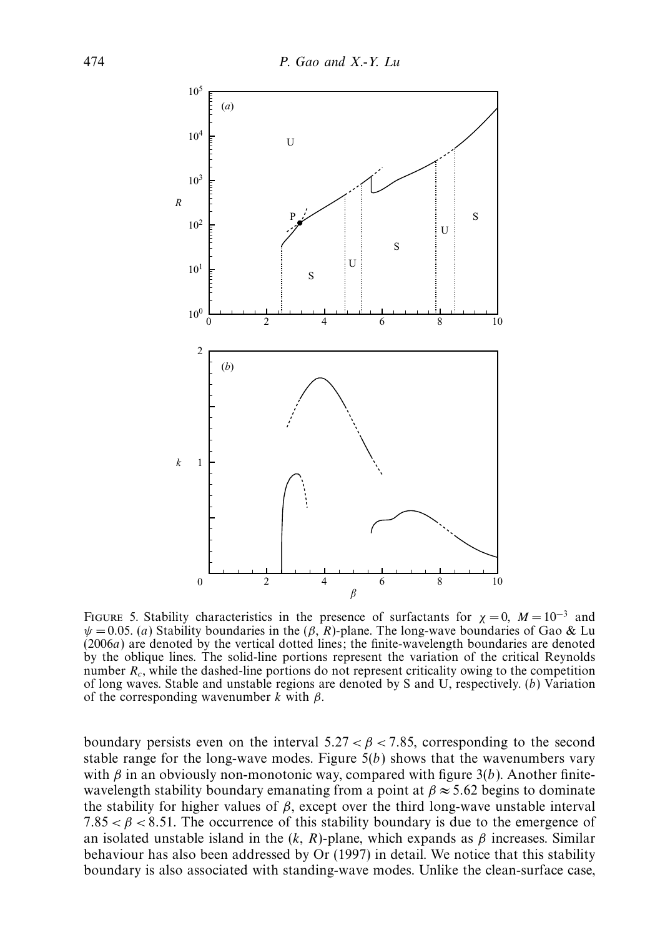

FIGURE 5. Stability characteristics in the presence of surfactants for  $\chi = 0$ ,  $M = 10^{-3}$  and  $\psi = 0.05$ . (a) Stability boundaries in the  $(\beta, R)$ -plane. The long-wave boundaries of Gao & Lu (2006a) are denoted by the vertical dotted lines; the finite-wavelength boundaries are denoted by the oblique lines. The solid-line portions represent the variation of the critical Reynolds number *Rc*, while the dashed-line portions do not represent criticality owing to the competition of long waves. Stable and unstable regions are denoted by S and U, respectively. (b) Variation of the corresponding wavenumber *k* with *β*.

boundary persists even on the interval  $5.27 < \beta < 7.85$ , corresponding to the second stable range for the long-wave modes. Figure  $5(b)$  shows that the wavenumbers vary with  $\beta$  in an obviously non-monotonic way, compared with figure 3(b). Another finitewavelength stability boundary emanating from a point at  $\beta \approx 5.62$  begins to dominate the stability for higher values of *β*, except over the third long-wave unstable interval 7.85  $\lt \beta$   $\lt$  8.51. The occurrence of this stability boundary is due to the emergence of an isolated unstable island in the  $(k, R)$ -plane, which expands as  $\beta$  increases. Similar behaviour has also been addressed by Or (1997) in detail. We notice that this stability boundary is also associated with standing-wave modes. Unlike the clean-surface case,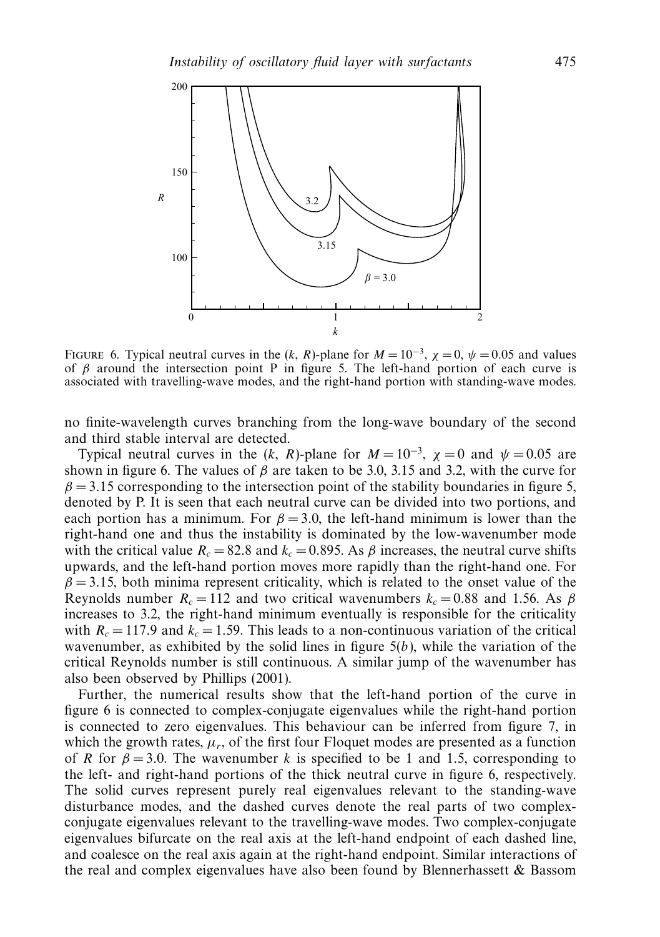

FIGURE 6. Typical neutral curves in the  $(k, R)$ -plane for  $M = 10^{-3}$ ,  $\chi = 0$ ,  $\psi = 0.05$  and values of  $\beta$  around the intersection point P in figure 5. The left-hand portion of each curve is associated with travelling-wave modes, and the right-hand portion with standing-wave modes.

no finite-wavelength curves branching from the long-wave boundary of the second and third stable interval are detected.

Typical neutral curves in the  $(k, R)$ -plane for  $M = 10^{-3}$ ,  $\chi = 0$  and  $\psi = 0.05$  are shown in figure 6. The values of *β* are taken to be 3.0, 3.15 and 3.2, with the curve for  $\beta$  = 3.15 corresponding to the intersection point of the stability boundaries in figure 5, denoted by P. It is seen that each neutral curve can be divided into two portions, and each portion has a minimum. For  $\beta = 3.0$ , the left-hand minimum is lower than the right-hand one and thus the instability is dominated by the low-wavenumber mode with the critical value  $R_c = 82.8$  and  $k_c = 0.895$ . As  $\beta$  increases, the neutral curve shifts upwards, and the left-hand portion moves more rapidly than the right-hand one. For  $\beta$  = 3.15, both minima represent criticality, which is related to the onset value of the Reynolds number  $R_c = 112$  and two critical wavenumbers  $k_c = 0.88$  and 1.56. As  $\beta$ increases to 3.2, the right-hand minimum eventually is responsible for the criticality with  $R_c = 117.9$  and  $k_c = 1.59$ . This leads to a non-continuous variation of the critical wavenumber, as exhibited by the solid lines in figure  $5(b)$ , while the variation of the critical Reynolds number is still continuous. A similar jump of the wavenumber has also been observed by Phillips (2001).

Further, the numerical results show that the left-hand portion of the curve in figure 6 is connected to complex-conjugate eigenvalues while the right-hand portion is connected to zero eigenvalues. This behaviour can be inferred from figure 7, in which the growth rates,  $\mu_r$ , of the first four Floquet modes are presented as a function of *R* for  $\beta = 3.0$ . The wavenumber *k* is specified to be 1 and 1.5, corresponding to the left- and right-hand portions of the thick neutral curve in figure 6, respectively. The solid curves represent purely real eigenvalues relevant to the standing-wave disturbance modes, and the dashed curves denote the real parts of two complexconjugate eigenvalues relevant to the travelling-wave modes. Two complex-conjugate eigenvalues bifurcate on the real axis at the left-hand endpoint of each dashed line, and coalesce on the real axis again at the right-hand endpoint. Similar interactions of the real and complex eigenvalues have also been found by Blennerhassett  $\&$  Bassom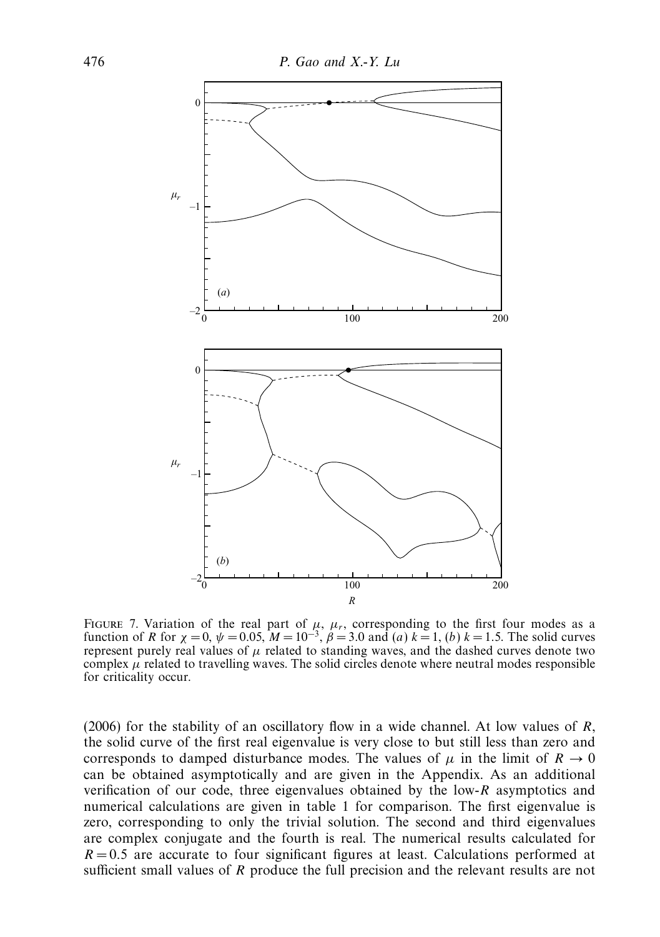

FIGURE 7. Variation of the real part of  $\mu$ ,  $\mu_r$ , corresponding to the first four modes as a function of *R* for  $\chi = 0$ ,  $\psi = 0.05$ ,  $M = 10^{-3}$ ,  $\beta = 3.0$  and (a)  $k = 1$ , (b)  $k = 1.5$ . The solid curves represent purely real values of  $\mu$  related to standing waves, and the dashed curves denote two complex  $\mu$  related to travelling waves. The solid circles denote where neutral modes responsible for criticality occur.

(2006) for the stability of an oscillatory flow in a wide channel. At low values of *R*, the solid curve of the first real eigenvalue is very close to but still less than zero and corresponds to damped disturbance modes. The values of  $\mu$  in the limit of  $R \to 0$ can be obtained asymptotically and are given in the Appendix. As an additional verification of our code, three eigenvalues obtained by the low-*R* asymptotics and numerical calculations are given in table 1 for comparison. The first eigenvalue is zero, corresponding to only the trivial solution. The second and third eigenvalues are complex conjugate and the fourth is real. The numerical results calculated for  $R = 0.5$  are accurate to four significant figures at least. Calculations performed at sufficient small values of *R* produce the full precision and the relevant results are not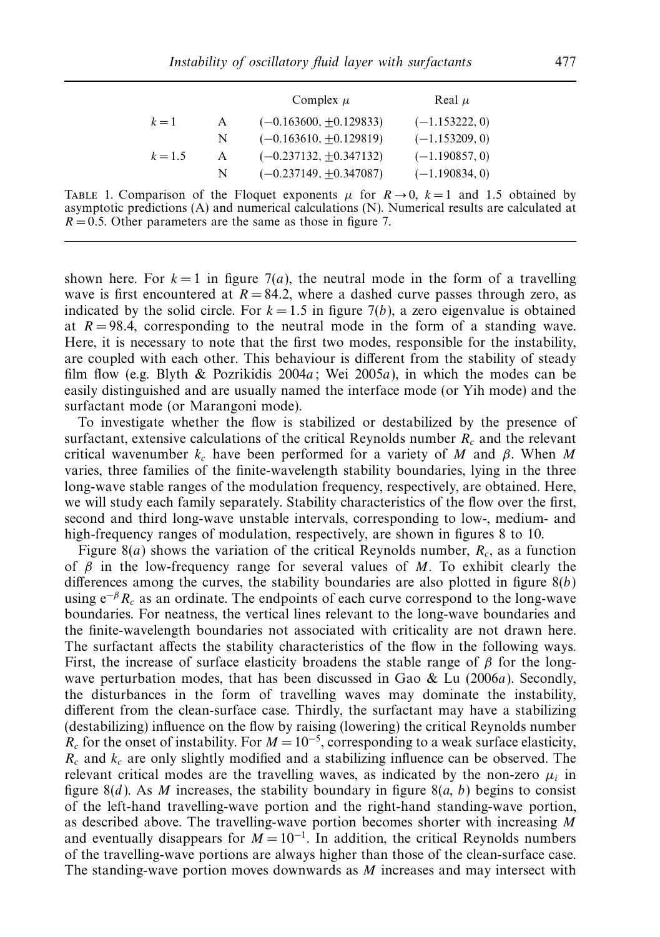|           |              | Complex $\mu$               | Real $\mu$       |
|-----------|--------------|-----------------------------|------------------|
| $k=1$     | $\mathsf{A}$ | $(-0.163600, +0.129833)$    | $(-1.153222, 0)$ |
|           | N            | $(-0.163610, +0.129819)$    | $(-1.153209, 0)$ |
| $k = 1.5$ | A            | $(-0.237132, \pm 0.347132)$ | $(-1.190857, 0)$ |
|           | N            | $(-0.237149, +0.347087)$    | $(-1.190834, 0)$ |

TABLE 1. Comparison of the Floquet exponents  $\mu$  for  $R \rightarrow 0$ ,  $k=1$  and 1.5 obtained by asymptotic predictions (A) and numerical calculations (N). Numerical results are calculated at  $R = 0.5$ . Other parameters are the same as those in figure 7.

shown here. For  $k = 1$  in figure  $7(a)$ , the neutral mode in the form of a travelling wave is first encountered at  $R = 84.2$ , where a dashed curve passes through zero, as indicated by the solid circle. For  $k = 1.5$  in figure 7(b), a zero eigenvalue is obtained at  $R = 98.4$ , corresponding to the neutral mode in the form of a standing wave. Here, it is necessary to note that the first two modes, responsible for the instability, are coupled with each other. This behaviour is different from the stability of steady film flow (e.g. Blyth & Pozrikidis  $2004a$ ; Wei  $2005a$ ), in which the modes can be easily distinguished and are usually named the interface mode (or Yih mode) and the surfactant mode (or Marangoni mode).

To investigate whether the flow is stabilized or destabilized by the presence of surfactant, extensive calculations of the critical Reynolds number *Rc* and the relevant critical wavenumber  $k_c$  have been performed for a variety of *M* and *β*. When *M* varies, three families of the finite-wavelength stability boundaries, lying in the three long-wave stable ranges of the modulation frequency, respectively, are obtained. Here, we will study each family separately. Stability characteristics of the flow over the first, second and third long-wave unstable intervals, corresponding to low-, medium- and high-frequency ranges of modulation, respectively, are shown in figures 8 to 10.

Figure  $8(a)$  shows the variation of the critical Reynolds number,  $R_c$ , as a function of *β* in the low-frequency range for several values of *M*. To exhibit clearly the differences among the curves, the stability boundaries are also plotted in figure  $8(b)$ using  $e^{-\beta}R_c$  as an ordinate. The endpoints of each curve correspond to the long-wave boundaries. For neatness, the vertical lines relevant to the long-wave boundaries and the finite-wavelength boundaries not associated with criticality are not drawn here. The surfactant affects the stability characteristics of the flow in the following ways. First, the increase of surface elasticity broadens the stable range of *β* for the longwave perturbation modes, that has been discussed in Gao & Lu (2006a). Secondly, the disturbances in the form of travelling waves may dominate the instability, different from the clean-surface case. Thirdly, the surfactant may have a stabilizing (destabilizing) influence on the flow by raising (lowering) the critical Reynolds number  $R_c$  for the onset of instability. For  $M = 10^{-5}$ , corresponding to a weak surface elasticity, *Rc* and *kc* are only slightly modified and a stabilizing influence can be observed. The relevant critical modes are the travelling waves, as indicated by the non-zero  $\mu_i$  in figure  $8(d)$ . As *M* increases, the stability boundary in figure  $8(a, b)$  begins to consist of the left-hand travelling-wave portion and the right-hand standing-wave portion, as described above. The travelling-wave portion becomes shorter with increasing *M* and eventually disappears for  $M = 10^{-1}$ . In addition, the critical Reynolds numbers of the travelling-wave portions are always higher than those of the clean-surface case. The standing-wave portion moves downwards as *M* increases and may intersect with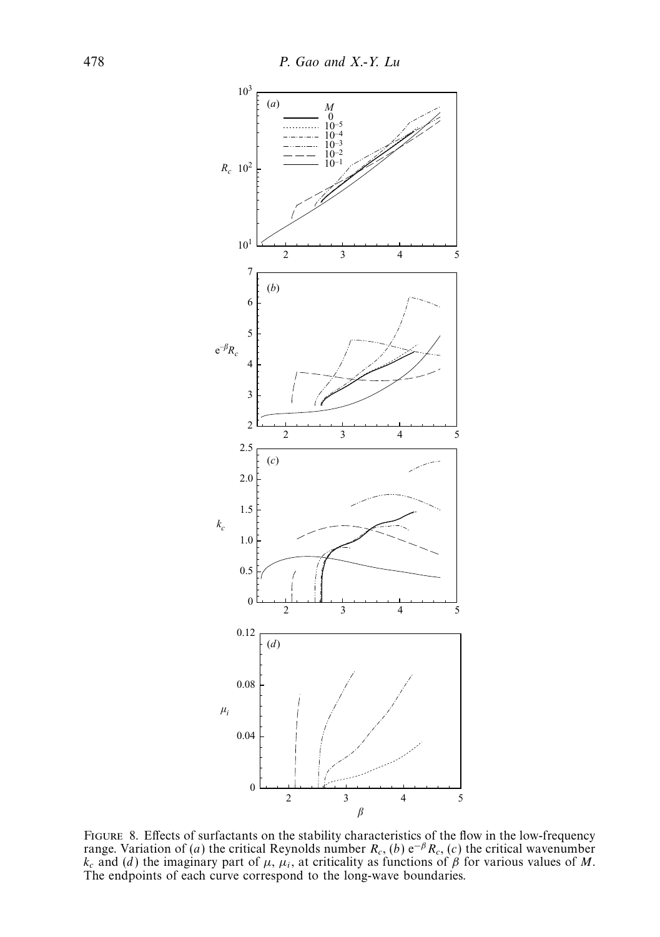

Figure 8. Effects of surfactants on the stability characteristics of the flow in the low-frequency range. Variation of (a) the critical Reynolds number  $R_c$ , (b)  $e^{-\beta}R_c$ , (c) the critical wavenumber  $k_c$  and (d) the imaginary part of  $\mu$ ,  $\mu_i$ , at criticality as functions of  $\beta$  for various values of *M*. The endpoints of each curve correspond to the long-wave boundaries.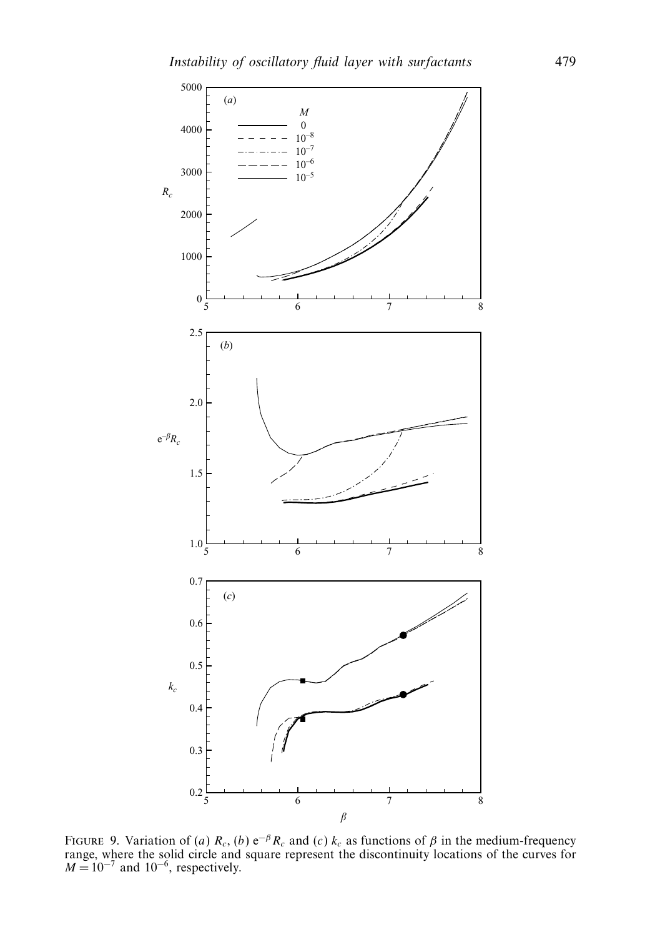

FIGURE 9. Variation of (a)  $R_c$ , (b)  $e^{-\beta}R_c$  and (c)  $k_c$  as functions of  $\beta$  in the medium-frequency range, where the solid circle and square represent the discontinuity locations of the curves for  $M = 10^{-7}$  and 10<sup>-6</sup>, respectively.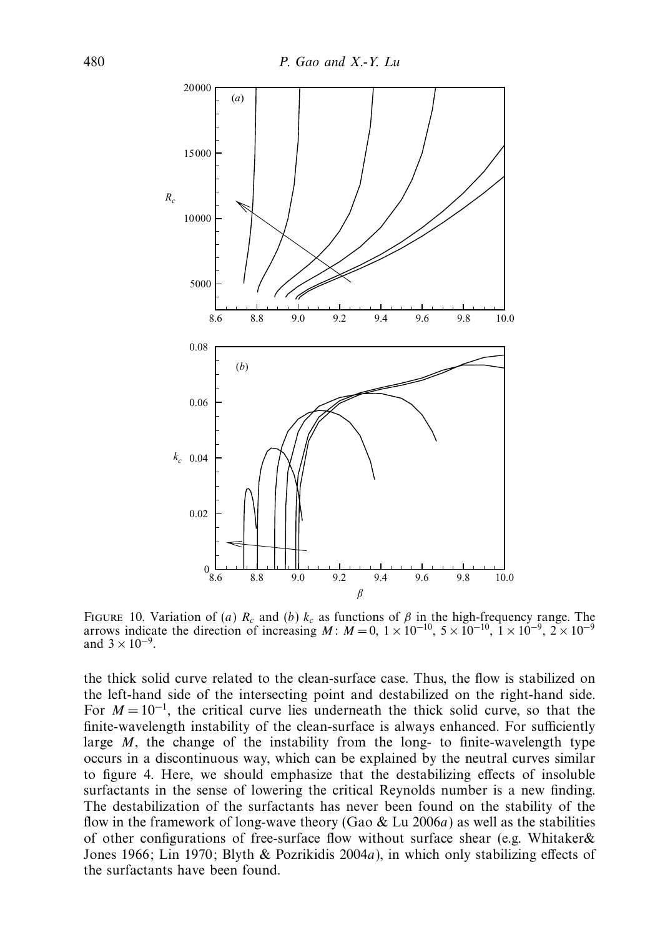

FIGURE 10. Variation of (a)  $R_c$  and (b)  $k_c$  as functions of  $\beta$  in the high-frequency range. The arrows indicate the direction of increasing *M*:  $M = 0$ ,  $1 \times 10^{-10}$ ,  $5 \times 10^{-10}$ ,  $1 \times 10^{-9}$ ,  $2 \times 10^{-9}$ and  $3 \times 10^{-9}$ .

the thick solid curve related to the clean-surface case. Thus, the flow is stabilized on the left-hand side of the intersecting point and destabilized on the right-hand side. For *M* = 10−1, the critical curve lies underneath the thick solid curve, so that the finite-wavelength instability of the clean-surface is always enhanced. For sufficiently large *M*, the change of the instability from the long- to finite-wavelength type occurs in a discontinuous way, which can be explained by the neutral curves similar to figure 4. Here, we should emphasize that the destabilizing effects of insoluble surfactants in the sense of lowering the critical Reynolds number is a new finding. The destabilization of the surfactants has never been found on the stability of the flow in the framework of long-wave theory (Gao  $& Lu 2006a$ ) as well as the stabilities of other configurations of free-surface flow without surface shear (e.g. Whitaker& Jones 1966; Lin 1970; Blyth & Pozrikidis 2004a), in which only stabilizing effects of the surfactants have been found.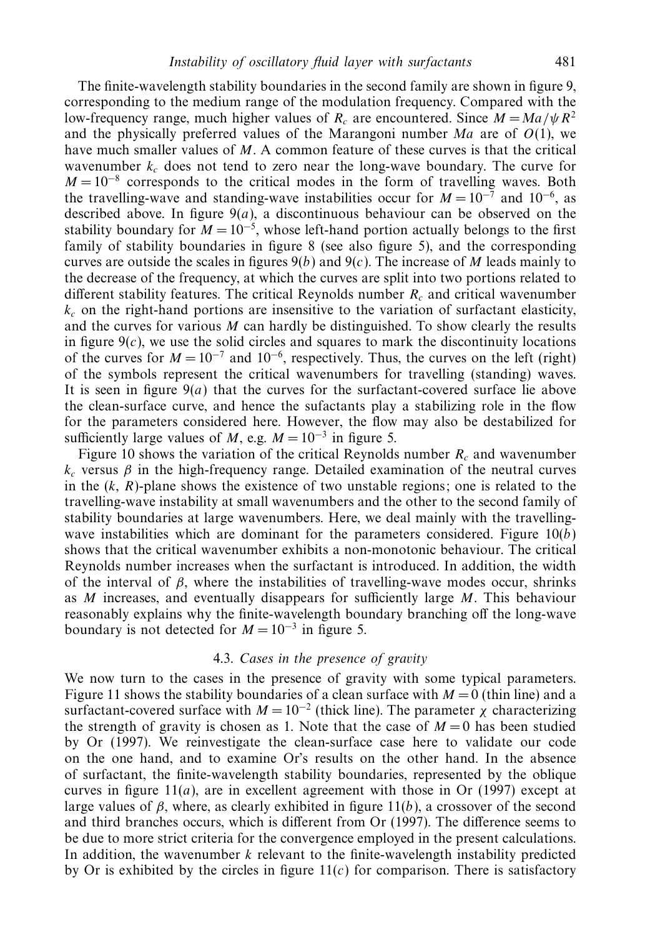The finite-wavelength stability boundaries in the second family are shown in figure 9, corresponding to the medium range of the modulation frequency. Compared with the low-frequency range, much higher values of *R<sub>c</sub>* are encountered. Since  $M = Ma/\psi R^2$ and the physically preferred values of the Marangoni number Ma are of *O*(1), we have much smaller values of *M*. A common feature of these curves is that the critical wavenumber  $k_c$  does not tend to zero near the long-wave boundary. The curve for  $M = 10^{-8}$  corresponds to the critical modes in the form of travelling waves. Both the travelling-wave and standing-wave instabilities occur for  $M = 10^{-7}$  and  $10^{-6}$ , as described above. In figure  $9(a)$ , a discontinuous behaviour can be observed on the stability boundary for  $M = 10^{-5}$ , whose left-hand portion actually belongs to the first family of stability boundaries in figure 8 (see also figure 5), and the corresponding curves are outside the scales in figures  $9(b)$  and  $9(c)$ . The increase of M leads mainly to the decrease of the frequency, at which the curves are split into two portions related to different stability features. The critical Reynolds number *Rc* and critical wavenumber  $k_c$  on the right-hand portions are insensitive to the variation of surfactant elasticity, and the curves for various *M* can hardly be distinguished. To show clearly the results in figure  $9(c)$ , we use the solid circles and squares to mark the discontinuity locations of the curves for  $M = 10^{-7}$  and  $10^{-6}$ , respectively. Thus, the curves on the left (right) of the symbols represent the critical wavenumbers for travelling (standing) waves. It is seen in figure  $9(a)$  that the curves for the surfactant-covered surface lie above the clean-surface curve, and hence the sufactants play a stabilizing role in the flow for the parameters considered here. However, the flow may also be destabilized for sufficiently large values of *M*, e.g.  $M = 10^{-3}$  in figure 5.

Figure 10 shows the variation of the critical Reynolds number  $R_c$  and wavenumber  $k_c$  versus *β* in the high-frequency range. Detailed examination of the neutral curves in the  $(k, R)$ -plane shows the existence of two unstable regions; one is related to the travelling-wave instability at small wavenumbers and the other to the second family of stability boundaries at large wavenumbers. Here, we deal mainly with the travellingwave instabilities which are dominant for the parameters considered. Figure  $10(b)$ shows that the critical wavenumber exhibits a non-monotonic behaviour. The critical Reynolds number increases when the surfactant is introduced. In addition, the width of the interval of  $\beta$ , where the instabilities of travelling-wave modes occur, shrinks as *M* increases, and eventually disappears for sufficiently large *M*. This behaviour reasonably explains why the finite-wavelength boundary branching off the long-wave boundary is not detected for  $M = 10^{-3}$  in figure 5.

# 4.3. Cases in the presence of gravity

We now turn to the cases in the presence of gravity with some typical parameters. Figure 11 shows the stability boundaries of a clean surface with  $M = 0$  (thin line) and a surfactant-covered surface with  $M = 10^{-2}$  (thick line). The parameter *χ* characterizing the strength of gravity is chosen as 1. Note that the case of  $M = 0$  has been studied by Or (1997). We reinvestigate the clean-surface case here to validate our code on the one hand, and to examine Or's results on the other hand. In the absence of surfactant, the finite-wavelength stability boundaries, represented by the oblique curves in figure  $11(a)$ , are in excellent agreement with those in Or (1997) except at large values of  $\beta$ , where, as clearly exhibited in figure 11(b), a crossover of the second and third branches occurs, which is different from Or (1997). The difference seems to be due to more strict criteria for the convergence employed in the present calculations. In addition, the wavenumber *k* relevant to the finite-wavelength instability predicted by Or is exhibited by the circles in figure  $11(c)$  for comparison. There is satisfactory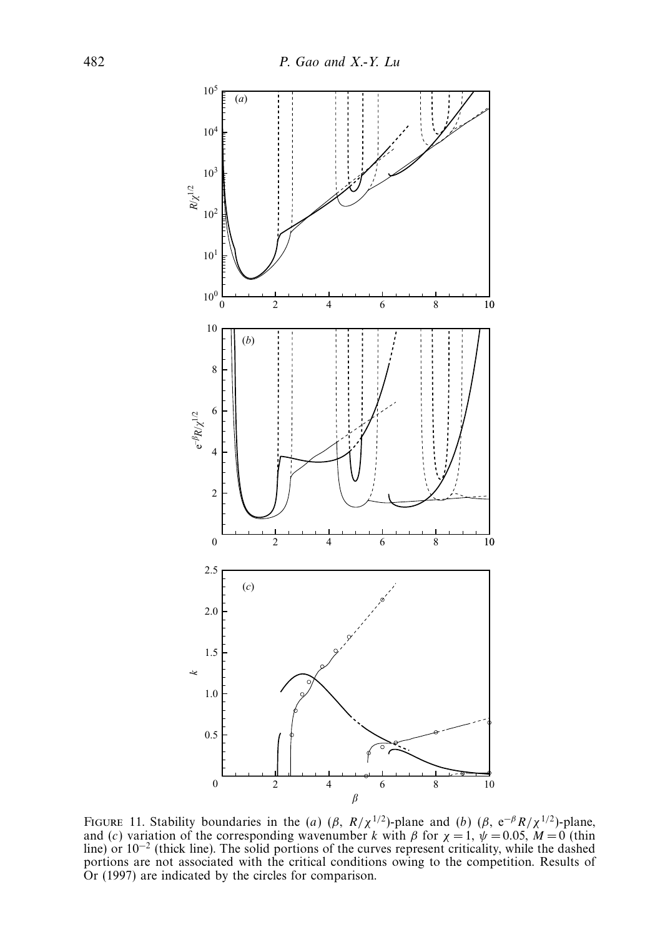

FIGURE 11. Stability boundaries in the (a) ( $\beta$ ,  $R/\chi^{1/2}$ )-plane and (b) ( $\beta$ ,  $e^{-\beta}R/\chi^{1/2}$ )-plane, and (c) variation of the corresponding wavenumber *k* with  $\beta$  for  $\chi = 1$ ,  $\psi = 0.05$ ,  $M = 0$  (thin line) or 10−<sup>2</sup> (thick line). The solid portions of the curves represent criticality, while the dashed portions are not associated with the critical conditions owing to the competition. Results of Or (1997) are indicated by the circles for comparison.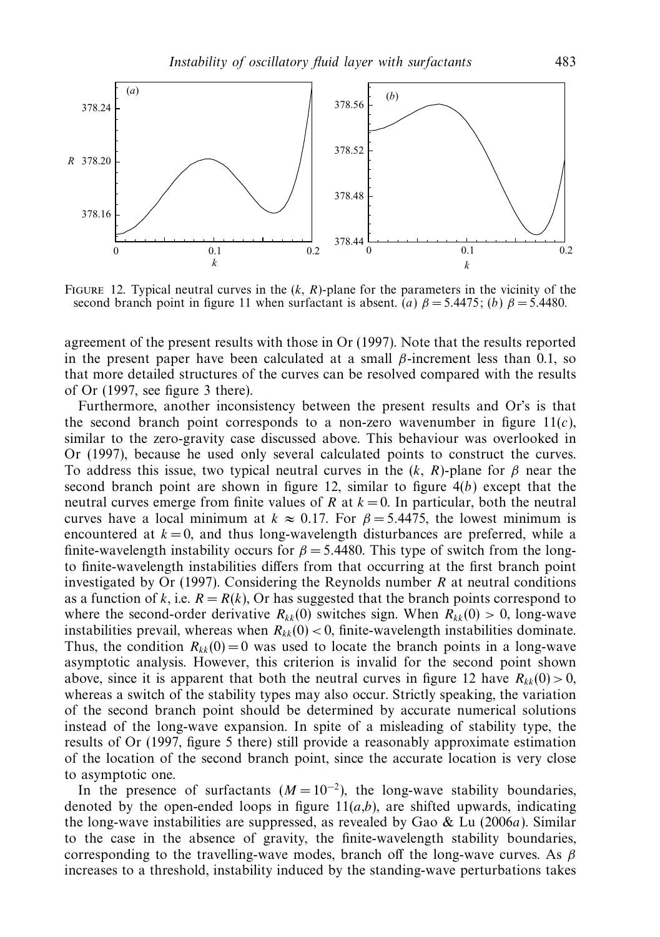

FIGURE 12. Typical neutral curves in the  $(k, R)$ -plane for the parameters in the vicinity of the second branch point in figure 11 when surfactant is absent. (a)  $\beta = 5.4475$ ; (b)  $\beta = 5.4480$ .

agreement of the present results with those in Or (1997). Note that the results reported in the present paper have been calculated at a small *β*-increment less than 0.1, so that more detailed structures of the curves can be resolved compared with the results of Or (1997, see figure 3 there).

Furthermore, another inconsistency between the present results and Or's is that the second branch point corresponds to a non-zero wavenumber in figure  $11(c)$ , similar to the zero-gravity case discussed above. This behaviour was overlooked in Or (1997), because he used only several calculated points to construct the curves. To address this issue, two typical neutral curves in the (*k*, *R*)-plane for *β* near the second branch point are shown in figure 12, similar to figure  $4(b)$  except that the neutral curves emerge from finite values of *R* at  $k = 0$ . In particular, both the neutral curves have a local minimum at  $k \approx 0.17$ . For  $\beta = 5.4475$ , the lowest minimum is encountered at  $k = 0$ , and thus long-wavelength disturbances are preferred, while a finite-wavelength instability occurs for  $\beta = 5.4480$ . This type of switch from the longto finite-wavelength instabilities differs from that occurring at the first branch point investigated by Or (1997). Considering the Reynolds number *R* at neutral conditions as a function of *k*, i.e.  $R = R(k)$ , Or has suggested that the branch points correspond to where the second-order derivative  $R_{kk}(0)$  switches sign. When  $R_{kk}(0) > 0$ , long-wave instabilities prevail, whereas when  $R_{kk}(0) < 0$ , finite-wavelength instabilities dominate. Thus, the condition  $R_{kk}(0) = 0$  was used to locate the branch points in a long-wave asymptotic analysis. However, this criterion is invalid for the second point shown above, since it is apparent that both the neutral curves in figure 12 have  $R_{kk}(0) > 0$ , whereas a switch of the stability types may also occur. Strictly speaking, the variation of the second branch point should be determined by accurate numerical solutions instead of the long-wave expansion. In spite of a misleading of stability type, the results of Or (1997, figure 5 there) still provide a reasonably approximate estimation of the location of the second branch point, since the accurate location is very close to asymptotic one.

In the presence of surfactants  $(M = 10^{-2})$ , the long-wave stability boundaries, denoted by the open-ended loops in figure  $11(a,b)$ , are shifted upwards, indicating the long-wave instabilities are suppressed, as revealed by Gao & Lu (2006a). Similar to the case in the absence of gravity, the finite-wavelength stability boundaries, corresponding to the travelling-wave modes, branch off the long-wave curves. As *β* increases to a threshold, instability induced by the standing-wave perturbations takes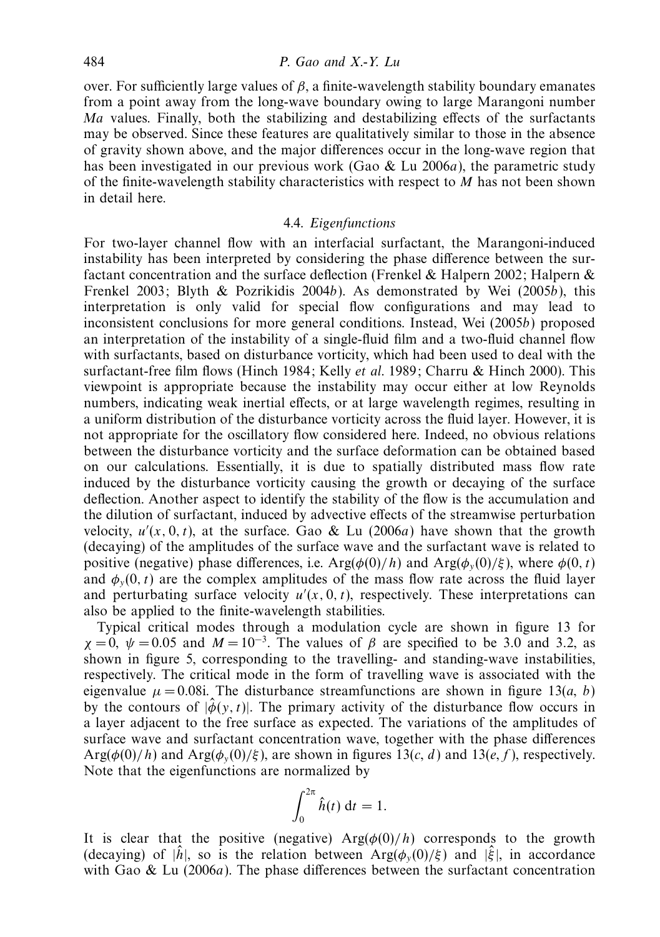over. For sufficiently large values of *β*, a finite-wavelength stability boundary emanates from a point away from the long-wave boundary owing to large Marangoni number Ma values. Finally, both the stabilizing and destabilizing effects of the surfactants may be observed. Since these features are qualitatively similar to those in the absence of gravity shown above, and the major differences occur in the long-wave region that has been investigated in our previous work (Gao  $\&$  Lu 2006a), the parametric study of the finite-wavelength stability characteristics with respect to *M* has not been shown in detail here.

#### 4.4. Eigenfunctions

For two-layer channel flow with an interfacial surfactant, the Marangoni-induced instability has been interpreted by considering the phase difference between the surfactant concentration and the surface deflection (Frenkel & Halpern 2002; Halpern & Frenkel 2003; Blyth & Pozrikidis 2004b). As demonstrated by Wei (2005b), this interpretation is only valid for special flow configurations and may lead to inconsistent conclusions for more general conditions. Instead, Wei (2005b) proposed an interpretation of the instability of a single-fluid film and a two-fluid channel flow with surfactants, based on disturbance vorticity, which had been used to deal with the surfactant-free film flows (Hinch 1984; Kelly et al. 1989; Charru & Hinch 2000). This viewpoint is appropriate because the instability may occur either at low Reynolds numbers, indicating weak inertial effects, or at large wavelength regimes, resulting in a uniform distribution of the disturbance vorticity across the fluid layer. However, it is not appropriate for the oscillatory flow considered here. Indeed, no obvious relations between the disturbance vorticity and the surface deformation can be obtained based on our calculations. Essentially, it is due to spatially distributed mass flow rate induced by the disturbance vorticity causing the growth or decaying of the surface deflection. Another aspect to identify the stability of the flow is the accumulation and the dilution of surfactant, induced by advective effects of the streamwise perturbation velocity,  $u'(x, 0, t)$ , at the surface. Gao & Lu (2006*a*) have shown that the growth (decaying) of the amplitudes of the surface wave and the surfactant wave is related to positive (negative) phase differences, i.e. Arg( $\phi(0)/h$ ) and Arg( $\phi_y(0)/\xi$ ), where  $\phi(0, t)$ and  $\phi_{\nu}(0, t)$  are the complex amplitudes of the mass flow rate across the fluid layer and perturbating surface velocity  $u'(x, 0, t)$ , respectively. These interpretations can also be applied to the finite-wavelength stabilities.

Typical critical modes through a modulation cycle are shown in figure 13 for  $\chi = 0$ ,  $\psi = 0.05$  and  $M = 10^{-3}$ . The values of  $\beta$  are specified to be 3.0 and 3.2, as shown in figure 5, corresponding to the travelling- and standing-wave instabilities, respectively. The critical mode in the form of travelling wave is associated with the eigenvalue  $\mu = 0.08$ i. The disturbance streamfunctions are shown in figure 13(*a*, *b*) by the contours of  $|\hat{\phi}(y, t)|$ . The primary activity of the disturbance flow occurs in a layer adjacent to the free surface as expected. The variations of the amplitudes of surface wave and surfactant concentration wave, together with the phase differences  $Arg(\phi(0)/h)$  and  $Arg(\phi_y(0)/\xi)$ , are shown in figures 13(c, d) and 13(e, f), respectively. Note that the eigenfunctions are normalized by

$$
\int_0^{2\pi} \hat{h}(t) \, \mathrm{d}t = 1.
$$

It is clear that the positive (negative)  $Arg(\phi(0)/h)$  corresponds to the growth (decaying) of  $|\hat{h}|$ , so is the relation between Arg $(\phi_y(0)/\xi)$  and  $|\hat{\xi}|$ , in accordance with Gao & Lu (2006a). The phase differences between the surfactant concentration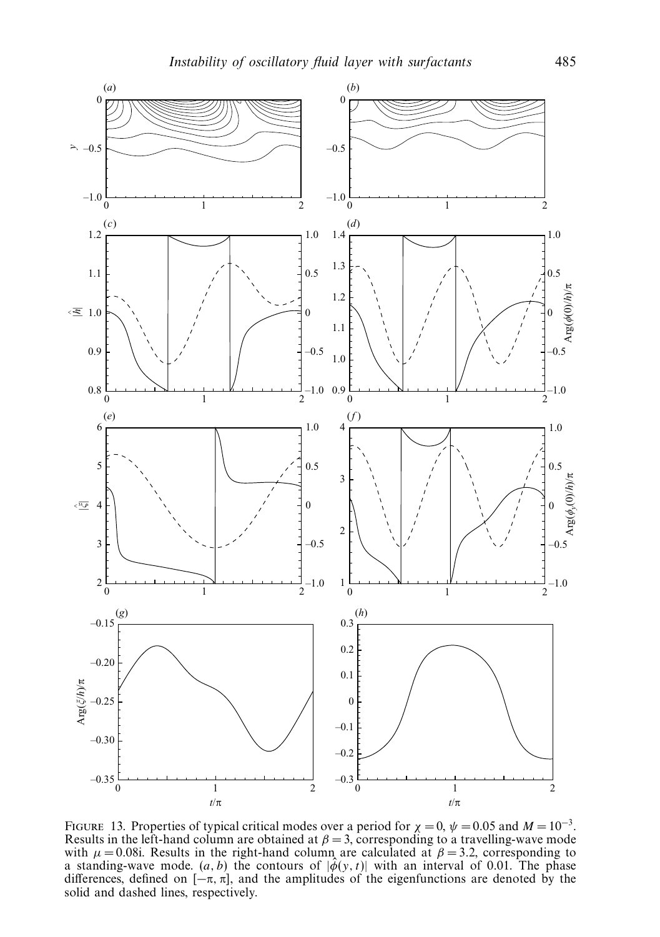

FIGURE 13. Properties of typical critical modes over a period for  $\chi = 0$ ,  $\psi = 0.05$  and  $M = 10^{-3}$ . Results in the left-hand column are obtained at  $\beta = 3$ , corresponding to a travelling-wave mode with  $\mu$  = 0.08i. Results in the right-hand column are calculated at  $\beta$  = 3.2, corresponding to a standing-wave mode.  $(a, b)$  the contours of  $|\hat{\phi}(y, t)|$  with an interval of 0.01. The phase differences, defined on  $[-\pi, \pi]$ , and the amplitudes of the eigenfunctions are denoted by the solid and dashed lines, respectively.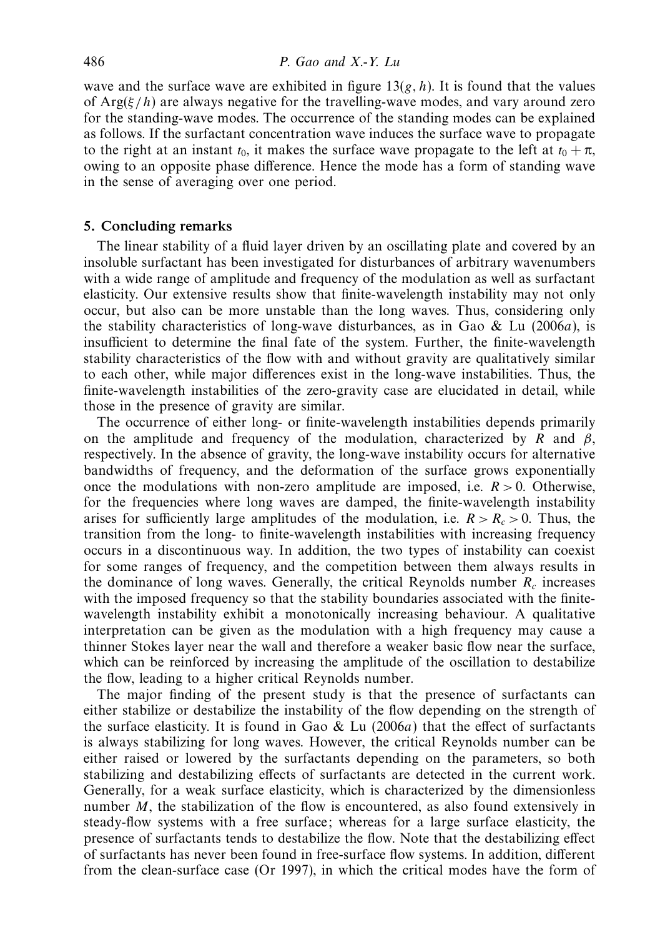wave and the surface wave are exhibited in figure  $13(g, h)$ . It is found that the values of Arg(*ξ/h*) are always negative for the travelling-wave modes, and vary around zero for the standing-wave modes. The occurrence of the standing modes can be explained as follows. If the surfactant concentration wave induces the surface wave to propagate to the right at an instant  $t_0$ , it makes the surface wave propagate to the left at  $t_0 + \pi$ , owing to an opposite phase difference. Hence the mode has a form of standing wave in the sense of averaging over one period.

## *5. Concluding remarks*

The linear stability of a fluid layer driven by an oscillating plate and covered by an insoluble surfactant has been investigated for disturbances of arbitrary wavenumbers with a wide range of amplitude and frequency of the modulation as well as surfactant elasticity. Our extensive results show that finite-wavelength instability may not only occur, but also can be more unstable than the long waves. Thus, considering only the stability characteristics of long-wave disturbances, as in Gao & Lu (2006a), is insufficient to determine the final fate of the system. Further, the finite-wavelength stability characteristics of the flow with and without gravity are qualitatively similar to each other, while major differences exist in the long-wave instabilities. Thus, the finite-wavelength instabilities of the zero-gravity case are elucidated in detail, while those in the presence of gravity are similar.

The occurrence of either long- or finite-wavelength instabilities depends primarily on the amplitude and frequency of the modulation, characterized by *R* and *β*, respectively. In the absence of gravity, the long-wave instability occurs for alternative bandwidths of frequency, and the deformation of the surface grows exponentially once the modulations with non-zero amplitude are imposed, i.e.  $R > 0$ . Otherwise, for the frequencies where long waves are damped, the finite-wavelength instability arises for sufficiently large amplitudes of the modulation, i.e.  $R > R_c > 0$ . Thus, the transition from the long- to finite-wavelength instabilities with increasing frequency occurs in a discontinuous way. In addition, the two types of instability can coexist for some ranges of frequency, and the competition between them always results in the dominance of long waves. Generally, the critical Reynolds number  $R_c$  increases with the imposed frequency so that the stability boundaries associated with the finitewavelength instability exhibit a monotonically increasing behaviour. A qualitative interpretation can be given as the modulation with a high frequency may cause a thinner Stokes layer near the wall and therefore a weaker basic flow near the surface, which can be reinforced by increasing the amplitude of the oscillation to destabilize the flow, leading to a higher critical Reynolds number.

The major finding of the present study is that the presence of surfactants can either stabilize or destabilize the instability of the flow depending on the strength of the surface elasticity. It is found in Gao & Lu  $(2006a)$  that the effect of surfactants is always stabilizing for long waves. However, the critical Reynolds number can be either raised or lowered by the surfactants depending on the parameters, so both stabilizing and destabilizing effects of surfactants are detected in the current work. Generally, for a weak surface elasticity, which is characterized by the dimensionless number *M*, the stabilization of the flow is encountered, as also found extensively in steady-flow systems with a free surface; whereas for a large surface elasticity, the presence of surfactants tends to destabilize the flow. Note that the destabilizing effect of surfactants has never been found in free-surface flow systems. In addition, different from the clean-surface case (Or 1997), in which the critical modes have the form of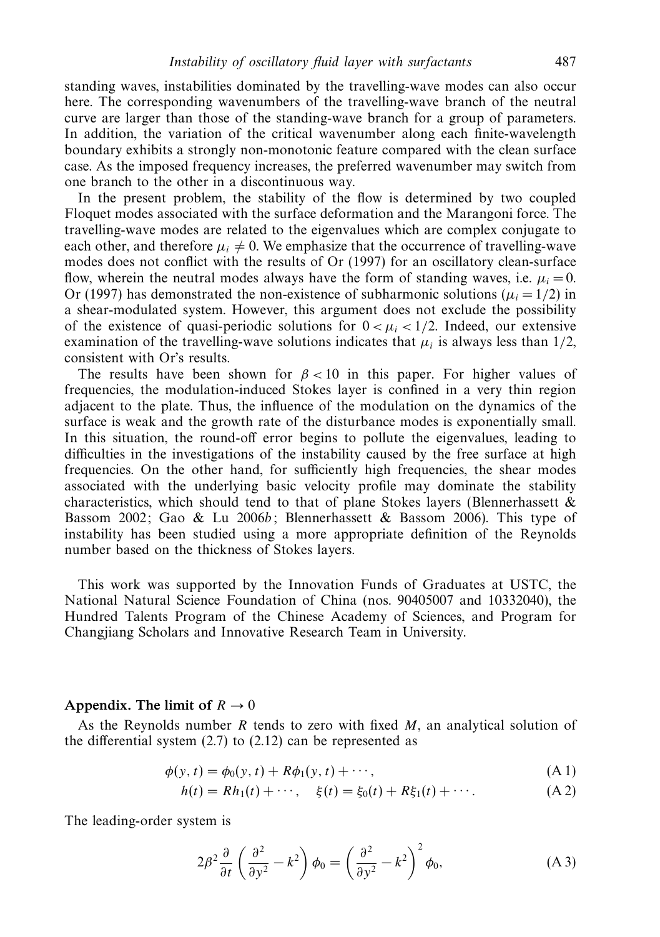standing waves, instabilities dominated by the travelling-wave modes can also occur here. The corresponding wavenumbers of the travelling-wave branch of the neutral curve are larger than those of the standing-wave branch for a group of parameters. In addition, the variation of the critical wavenumber along each finite-wavelength boundary exhibits a strongly non-monotonic feature compared with the clean surface case. As the imposed frequency increases, the preferred wavenumber may switch from one branch to the other in a discontinuous way.

In the present problem, the stability of the flow is determined by two coupled Floquet modes associated with the surface deformation and the Marangoni force. The travelling-wave modes are related to the eigenvalues which are complex conjugate to each other, and therefore  $\mu_i \neq 0$ . We emphasize that the occurrence of travelling-wave modes does not conflict with the results of Or (1997) for an oscillatory clean-surface flow, wherein the neutral modes always have the form of standing waves, i.e.  $\mu_i = 0$ . Or (1997) has demonstrated the non-existence of subharmonic solutions ( $\mu_i = 1/2$ ) in a shear-modulated system. However, this argument does not exclude the possibility of the existence of quasi-periodic solutions for  $0 < \mu_i < 1/2$ . Indeed, our extensive examination of the travelling-wave solutions indicates that  $\mu_i$  is always less than  $1/2$ , consistent with Or's results.

The results have been shown for *β <* 10 in this paper. For higher values of frequencies, the modulation-induced Stokes layer is confined in a very thin region adjacent to the plate. Thus, the influence of the modulation on the dynamics of the surface is weak and the growth rate of the disturbance modes is exponentially small. In this situation, the round-off error begins to pollute the eigenvalues, leading to difficulties in the investigations of the instability caused by the free surface at high frequencies. On the other hand, for sufficiently high frequencies, the shear modes associated with the underlying basic velocity profile may dominate the stability characteristics, which should tend to that of plane Stokes layers (Blennerhassett & Bassom 2002; Gao & Lu 2006b; Blennerhassett & Bassom 2006). This type of instability has been studied using a more appropriate definition of the Reynolds number based on the thickness of Stokes layers.

This work was supported by the Innovation Funds of Graduates at USTC, the National Natural Science Foundation of China (nos. 90405007 and 10332040), the Hundred Talents Program of the Chinese Academy of Sciences, and Program for Changjiang Scholars and Innovative Research Team in University.

#### Appendix. The limit of  $R \to 0$

As the Reynolds number *R* tends to zero with fixed *M*, an analytical solution of the differential system  $(2.7)$  to  $(2.12)$  can be represented as

$$
\phi(y,t) = \phi_0(y,t) + R\phi_1(y,t) + \cdots,
$$
\n(A1)

$$
h(t) = Rh_1(t) + \cdots, \quad \xi(t) = \xi_0(t) + R\xi_1(t) + \cdots.
$$
 (A2)

The leading-order system is

$$
2\beta^2 \frac{\partial}{\partial t} \left( \frac{\partial^2}{\partial y^2} - k^2 \right) \phi_0 = \left( \frac{\partial^2}{\partial y^2} - k^2 \right)^2 \phi_0, \tag{A 3}
$$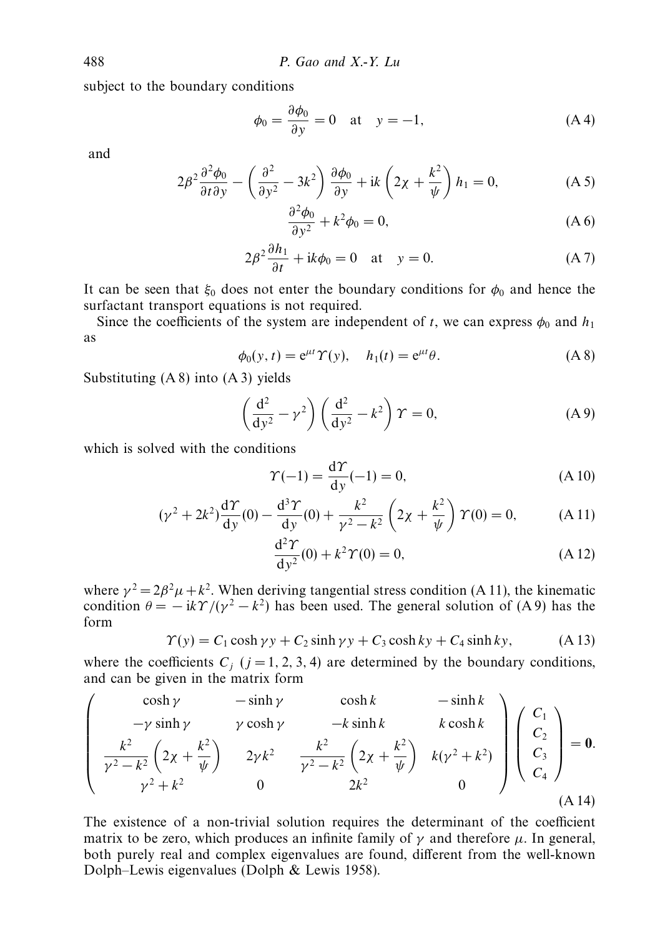subject to the boundary conditions

$$
\phi_0 = \frac{\partial \phi_0}{\partial y} = 0 \quad \text{at} \quad y = -1,\tag{A4}
$$

and

$$
2\beta^2 \frac{\partial^2 \phi_0}{\partial t \partial y} - \left(\frac{\partial^2}{\partial y^2} - 3k^2\right) \frac{\partial \phi_0}{\partial y} + ik \left(2\chi + \frac{k^2}{\psi}\right) h_1 = 0, \tag{A.5}
$$

$$
\frac{\partial^2 \phi_0}{\partial y^2} + k^2 \phi_0 = 0, \tag{A 6}
$$

$$
2\beta^2 \frac{\partial h_1}{\partial t} + ik\phi_0 = 0 \quad \text{at} \quad y = 0. \tag{A 7}
$$

It can be seen that  $\xi_0$  does not enter the boundary conditions for  $\phi_0$  and hence the surfactant transport equations is not required.

Since the coefficients of the system are independent of *t*, we can express  $\phi_0$  and  $h_1$ as

$$
\phi_0(y, t) = e^{\mu t} \Upsilon(y), \quad h_1(t) = e^{\mu t} \theta.
$$
 (A 8)

Substituting  $(A 8)$  into  $(A 3)$  yields

$$
\left(\frac{\mathrm{d}^2}{\mathrm{d}y^2} - \gamma^2\right) \left(\frac{\mathrm{d}^2}{\mathrm{d}y^2} - k^2\right) \Upsilon = 0, \tag{A9}
$$

which is solved with the conditions

$$
\Upsilon(-1) = \frac{\mathrm{d}\Upsilon}{\mathrm{d}y}(-1) = 0,\tag{A.10}
$$

$$
(\gamma^2 + 2k^2)\frac{d\Upsilon}{dy}(0) - \frac{d^3\Upsilon}{dy}(0) + \frac{k^2}{\gamma^2 - k^2} \left(2\chi + \frac{k^2}{\psi}\right)\Upsilon(0) = 0, \quad (A11)
$$

$$
\frac{\mathrm{d}^2 \Upsilon}{\mathrm{d} y^2}(0) + k^2 \Upsilon(0) = 0,\tag{A.12}
$$

where  $\gamma^2 = 2\beta^2\mu + k^2$ . When deriving tangential stress condition (A 11), the kinematic condition  $\theta = -i\frac{k\gamma}{(\gamma^2 - k^2)}$  has been used. The general solution of (A9) has the form

$$
\Upsilon(y) = C_1 \cosh \gamma y + C_2 \sinh \gamma y + C_3 \cosh ky + C_4 \sinh ky, \tag{A 13}
$$

where the coefficients  $C_i$  ( $j = 1, 2, 3, 4$ ) are determined by the boundary conditions, and can be given in the matrix form

$$
\begin{pmatrix}\n\cosh \gamma & -\sinh \gamma & \cosh k & -\sinh k \\
-\gamma \sinh \gamma & \gamma \cosh \gamma & -k \sinh k & k \cosh k \\
\frac{k^2}{\gamma^2 - k^2} \left(2\chi + \frac{k^2}{\psi}\right) & 2\gamma k^2 & \frac{k^2}{\gamma^2 - k^2} \left(2\chi + \frac{k^2}{\psi}\right) & k(\gamma^2 + k^2) \\
\gamma^2 + k^2 & 0 & 2k^2 & 0\n\end{pmatrix}\n\begin{pmatrix}\nC_1 \\
C_2 \\
C_3 \\
C_4\n\end{pmatrix} = 0.
$$
\n(A14)

The existence of a non-trivial solution requires the determinant of the coefficient matrix to be zero, which produces an infinite family of  $\gamma$  and therefore  $\mu$ . In general, both purely real and complex eigenvalues are found, different from the well-known Dolph–Lewis eigenvalues (Dolph & Lewis 1958).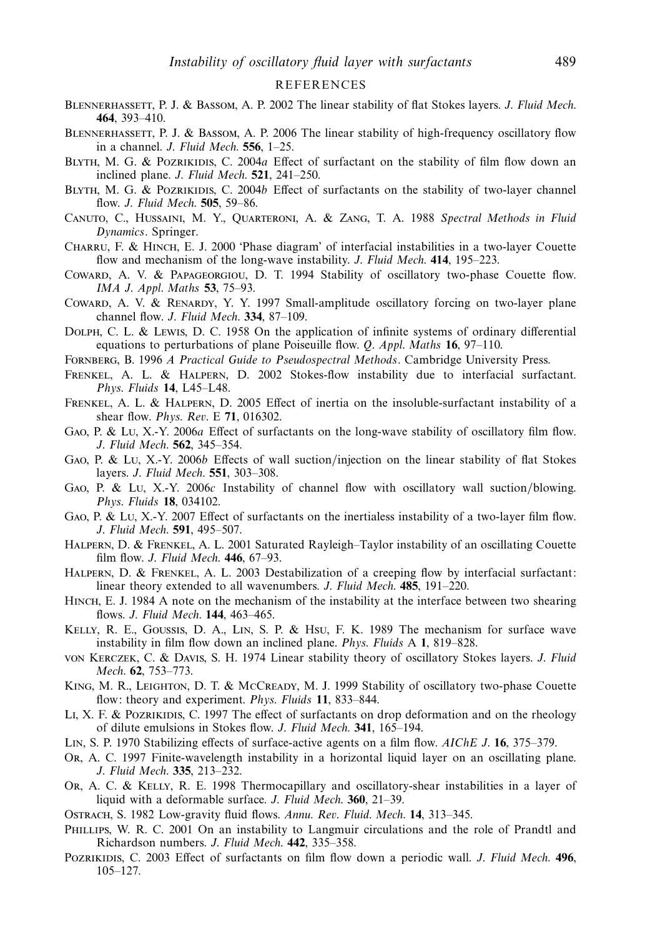#### **REFERENCES**

- Blennerhassett, P. J. & Bassom, A. P. 2002 The linear stability of flat Stokes layers. J. Fluid Mech. **464**, 393–410.
- BLENNERHASSETT, P. J. & BASSOM, A. P. 2006 The linear stability of high-frequency oscillatory flow in a channel. J. Fluid Mech. **556**, 1–25.
- BLYTH, M. G. & POZRIKIDIS, C. 2004a Effect of surfactant on the stability of film flow down an inclined plane. J. Fluid Mech. **521**, 241–250.
- BLYTH, M. G. & POZRIKIDIS, C. 2004b Effect of surfactants on the stability of two-layer channel flow. J. Fluid Mech. **505**, 59–86.
- CANUTO, C., HUSSAINI, M. Y., QUARTERONI, A. & ZANG, T. A. 1988 Spectral Methods in Fluid Dynamics. Springer.
- Charru, F. & Hinch, E. J. 2000 'Phase diagram' of interfacial instabilities in a two-layer Couette flow and mechanism of the long-wave instability. J. Fluid Mech. **414**, 195–223.
- COWARD, A. V. & PAPAGEORGIOU, D. T. 1994 Stability of oscillatory two-phase Couette flow. IMA J. Appl. Maths **53**, 75–93.
- Coward, A. V. & RENARDY, Y. Y. 1997 Small-amplitude oscillatory forcing on two-layer plane channel flow. J. Fluid Mech. **334**, 87–109.
- Dolph, C. L. & Lewis, D. C. 1958 On the application of infinite systems of ordinary differential equations to perturbations of plane Poiseuille flow. Q. Appl. Maths **16**, 97–110.
- Fornberg, B. 1996 A Practical Guide to Pseudospectral Methods. Cambridge University Press.
- FRENKEL, A. L. & HALPERN, D. 2002 Stokes-flow instability due to interfacial surfactant. Phys. Fluids **14**, L45–L48.
- Frenkel, A. L. & Halpern, D. 2005 Effect of inertia on the insoluble-surfactant instability of a shear flow. Phys. Rev. E **71**, 016302.
- GAO, P. & Lu, X.-Y. 2006a Effect of surfactants on the long-wave stability of oscillatory film flow. J. Fluid Mech. **562**, 345–354.
- GAO, P. & Lu, X.-Y. 2006b Effects of wall suction/injection on the linear stability of flat Stokes layers. J. Fluid Mech. **551**, 303–308.
- GAO, P. & Lu, X.-Y. 2006c Instability of channel flow with oscillatory wall suction/blowing. Phys. Fluids **18**, 034102.
- Gao, P. & Lu, X.-Y. 2007 Effect of surfactants on the inertialess instability of a two-layer film flow. J. Fluid Mech. **591**, 495–507.
- Halpern, D. & Frenkel, A. L. 2001 Saturated Rayleigh–Taylor instability of an oscillating Couette film flow. J. Fluid Mech. **446**, 67–93.
- HALPERN, D. & FRENKEL, A. L. 2003 Destabilization of a creeping flow by interfacial surfactant: linear theory extended to all wavenumbers. J. Fluid Mech. **485**, 191–220.
- Hinch, E. J. 1984 A note on the mechanism of the instability at the interface between two shearing flows. J. Fluid Mech. **144**, 463–465.
- Kelly, R. E., Goussis, D. A., Lin, S. P. & Hsu, F. K. 1989 The mechanism for surface wave instability in film flow down an inclined plane. Phys. Fluids A **1**, 819–828.
- von Kerczek, C. & Davis, S. H. 1974 Linear stability theory of oscillatory Stokes layers. J. Fluid Mech. **62**, 753–773.
- KING, M. R., LEIGHTON, D. T. & MCCREADY, M. J. 1999 Stability of oscillatory two-phase Couette flow: theory and experiment. Phys. Fluids **11**, 833–844.
- Li, X. F. & Pozrikidis, C. 1997 The effect of surfactants on drop deformation and on the rheology of dilute emulsions in Stokes flow. J. Fluid Mech. **341**, 165–194.
- Lin, S. P. 1970 Stabilizing effects of surface-active agents on a film flow. AIChE J. **16**, 375–379.
- Or, A. C. 1997 Finite-wavelength instability in a horizontal liquid layer on an oscillating plane. J. Fluid Mech. **335**, 213–232.
- Or, A. C. & Kelly, R. E. 1998 Thermocapillary and oscillatory-shear instabilities in a layer of liquid with a deformable surface. J. Fluid Mech. **360**, 21–39.
- Ostrach, S. 1982 Low-gravity fluid flows. Annu. Rev. Fluid. Mech. **14**, 313–345.
- PHILLIPS, W. R. C. 2001 On an instability to Langmuir circulations and the role of Prandtl and Richardson numbers. J. Fluid Mech. **442**, 335–358.
- Pozrikidis, C. 2003 Effect of surfactants on film flow down a periodic wall. J. Fluid Mech. **496**, 105–127.